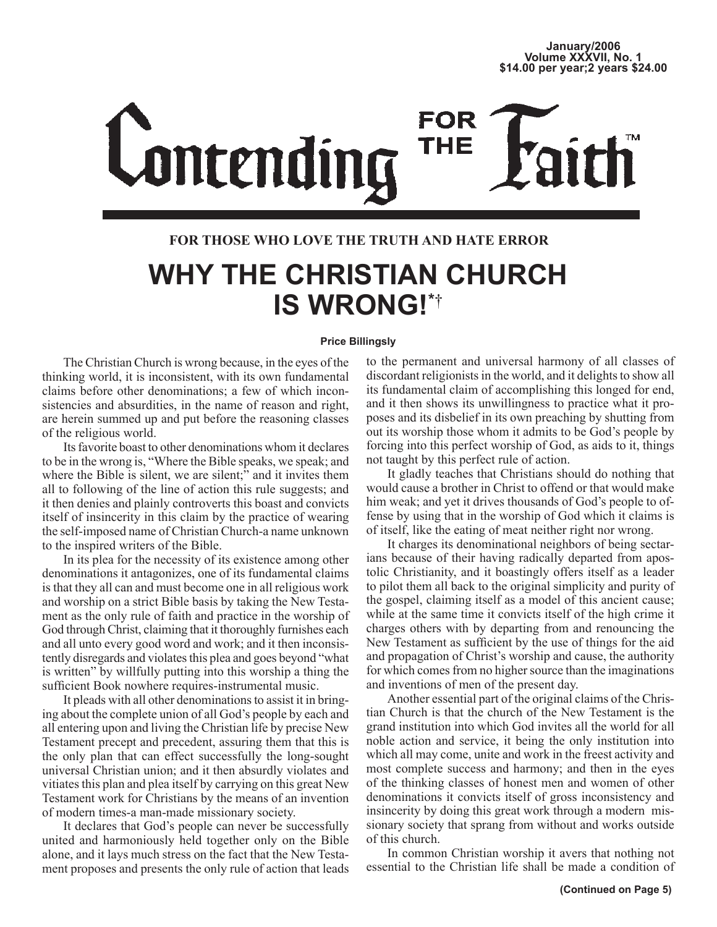# FOR **Contending THE**

## **FOR THOSE WHO LOVE THE TRUTH AND HATE ERROR**

## **WHY THE CHRISTIAN CHURCH IS WRONG!\***†

## **Price Billingsly**

The Christian Church is wrong because, in the eyes of the thinking world, it is inconsistent, with its own fundamental claims before other denominations; a few of which inconsistencies and absurdities, in the name of reason and right, are herein summed up and put before the reasoning classes of the religious world.

Its favorite boast to other denominations whom it declares to be in the wrong is, "Where the Bible speaks, we speak; and where the Bible is silent, we are silent;" and it invites them all to following of the line of action this rule suggests; and it then denies and plainly controverts this boast and convicts itself of insincerity in this claim by the practice of wearing the self-imposed name of Christian Church-a name unknown to the inspired writers of the Bible.

In its plea for the necessity of its existence among other denominations it antagonizes, one of its fundamental claims is that they all can and must become one in all religious work and worship on a strict Bible basis by taking the New Testament as the only rule of faith and practice in the worship of God through Christ, claiming that it thoroughly furnishes each and all unto every good word and work; and it then inconsistently disregards and violates this plea and goes beyond "what is written" by willfully putting into this worship a thing the sufficient Book nowhere requires-instrumental music.

It pleads with all other denominations to assist it in bringing about the complete union of all God's people by each and all entering upon and living the Christian life by precise New Testament precept and precedent, assuring them that this is the only plan that can effect successfully the long-sought universal Christian union; and it then absurdly violates and vitiates this plan and plea itself by carrying on this great New Testament work for Christians by the means of an invention of modern times-a man-made missionary society.

It declares that God's people can never be successfully united and harmoniously held together only on the Bible alone, and it lays much stress on the fact that the New Testament proposes and presents the only rule of action that leads

to the permanent and universal harmony of all classes of discordant religionists in the world, and it delights to show all its fundamental claim of accomplishing this longed for end, and it then shows its unwillingness to practice what it proposes and its disbelief in its own preaching by shutting from out its worship those whom it admits to be God's people by forcing into this perfect worship of God, as aids to it, things not taught by this perfect rule of action.

It gladly teaches that Christians should do nothing that would cause a brother in Christ to offend or that would make him weak; and yet it drives thousands of God's people to offense by using that in the worship of God which it claims is of itself, like the eating of meat neither right nor wrong.

It charges its denominational neighbors of being sectarians because of their having radically departed from apostolic Christianity, and it boastingly offers itself as a leader to pilot them all back to the original simplicity and purity of the gospel, claiming itself as a model of this ancient cause; while at the same time it convicts itself of the high crime it charges others with by departing from and renouncing the New Testament as sufficient by the use of things for the aid and propagation of Christ's worship and cause, the authority for which comes from no higher source than the imaginations and inventions of men of the present day.

Another essential part of the original claims of the Christian Church is that the church of the New Testament is the grand institution into which God invites all the world for all noble action and service, it being the only institution into which all may come, unite and work in the freest activity and most complete success and harmony; and then in the eyes of the thinking classes of honest men and women of other denominations it convicts itself of gross inconsistency and insincerity by doing this great work through a modern missionary society that sprang from without and works outside of this church.

In common Christian worship it avers that nothing not essential to the Christian life shall be made a condition of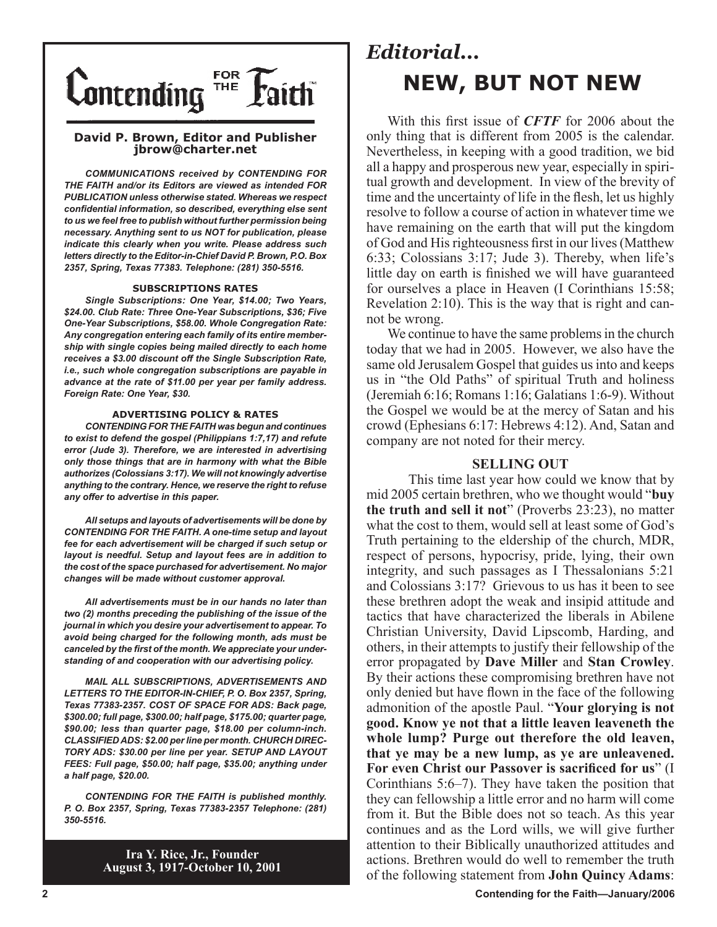

#### **David P. Brown, Editor and Publisher jbrow@charter.net**

*COMMUNICATIONS received by CONTENDING FOR THE FAITH and/or its Editors are viewed as intended FOR PUBLICATION unless otherwise stated. Whereas we respect confidential information, so described, everything else sent to us we feel free to publish without further permission being necessary. Anything sent to us NOT for publication, please indicate this clearly when you write. Please address such letters directly to the Editor-in-Chief David P. Brown, P.O. Box 2357, Spring, Texas 77383. Telephone: (281) 350-5516.*

#### **SUBSCRIPTIONS RATES**

*Single Subscriptions: One Year, \$14.00; Two Years, \$24.00. Club Rate: Three One-Year Subscriptions, \$36; Five One-Year Subscriptions, \$58.00. Whole Congregation Rate: Any congregation entering each family of its entire membership with single copies being mailed directly to each home receives a \$3.00 discount off the Single Subscription Rate, i.e., such whole congregation subscriptions are payable in advance at the rate of \$11.00 per year per family address. Foreign Rate: One Year, \$30.*

#### **ADVERTISING POLICY & RATES**

*CONTENDING FOR THE FAITH was begun and continues to exist to defend the gospel (Philippians 1:7,17) and refute error (Jude 3). Therefore, we are interested in advertising only those things that are in harmony with what the Bible authorizes (Colossians 3:17). We will not knowingly advertise anything to the contrary. Hence, we reserve the right to refuse any offer to advertise in this paper.*

*All setups and layouts of advertisements will be done by CONTENDING FOR THE FAITH. A one-time setup and layout fee for each advertisement will be charged if such setup or layout is needful. Setup and layout fees are in addition to the cost of the space purchased for advertisement. No major changes will be made without customer approval.*

*All advertisements must be in our hands no later than two (2) months preceding the publishing of the issue of the journal in which you desire your advertisement to appear. To avoid being charged for the following month, ads must be canceled by the first of the month. We appreciate your understanding of and cooperation with our advertising policy.*

*MAIL ALL SUBSCRIPTIONS, ADVERTISEMENTS AND LETTERS TO THE EDITOR-IN-CHIEF, P. O. Box 2357, Spring, Texas 77383-2357. COST OF SPACE FOR ADS: Back page, \$300.00; full page, \$300.00; half page, \$175.00; quarter page, \$90.00; less than quarter page, \$18.00 per column-inch. CLASSIFIED ADS: \$2.00 per line per month. CHURCH DIREC-TORY ADS: \$30.00 per line per year. SETUP AND LAYOUT FEES: Full page, \$50.00; half page, \$35.00; anything under a half page, \$20.00.*

*CONTENDING FOR THE FAITH is published monthly. P. O. Box 2357, Spring, Texas 77383-2357 Telephone: (281) 350-5516.*

> **Ira Y. Rice, Jr., Founder August 3, 1917-October 10, 2001**

## *Editorial...* **NEW, BUT NOT NEW**

With this first issue of *CFTF* for 2006 about the only thing that is different from 2005 is the calendar. Nevertheless, in keeping with a good tradition, we bid all a happy and prosperous new year, especially in spiritual growth and development. In view of the brevity of time and the uncertainty of life in the flesh, let us highly resolve to follow a course of action in whatever time we have remaining on the earth that will put the kingdom of God and His righteousness first in our lives (Matthew 6:33; Colossians 3:17; Jude 3). Thereby, when life's little day on earth is finished we will have guaranteed for ourselves a place in Heaven (I Corinthians 15:58; Revelation 2:10). This is the way that is right and cannot be wrong.

We continue to have the same problems in the church today that we had in 2005. However, we also have the same old Jerusalem Gospel that guides us into and keeps us in "the Old Paths" of spiritual Truth and holiness (Jeremiah 6:16; Romans 1:16; Galatians 1:6-9). Without the Gospel we would be at the mercy of Satan and his crowd (Ephesians 6:17: Hebrews 4:12). And, Satan and company are not noted for their mercy.

#### **SELLING OUT**

 This time last year how could we know that by mid 2005 certain brethren, who we thought would "**buy the truth and sell it not**" (Proverbs 23:23), no matter what the cost to them, would sell at least some of God's Truth pertaining to the eldership of the church, MDR, respect of persons, hypocrisy, pride, lying, their own integrity, and such passages as I Thessalonians 5:21 and Colossians 3:17? Grievous to us has it been to see these brethren adopt the weak and insipid attitude and tactics that have characterized the liberals in Abilene Christian University, David Lipscomb, Harding, and others, in their attempts to justify their fellowship of the error propagated by **Dave Miller** and **Stan Crowley**. By their actions these compromising brethren have not only denied but have flown in the face of the following admonition of the apostle Paul. "**Your glorying is not good. Know ye not that a little leaven leaveneth the whole lump? Purge out therefore the old leaven, that ye may be a new lump, as ye are unleavened. For even Christ our Passover is sacrificed for us**" (I Corinthians 5:6–7). They have taken the position that they can fellowship a little error and no harm will come from it. But the Bible does not so teach. As this year continues and as the Lord wills, we will give further attention to their Biblically unauthorized attitudes and actions. Brethren would do well to remember the truth of the following statement from **John Quincy Adams**: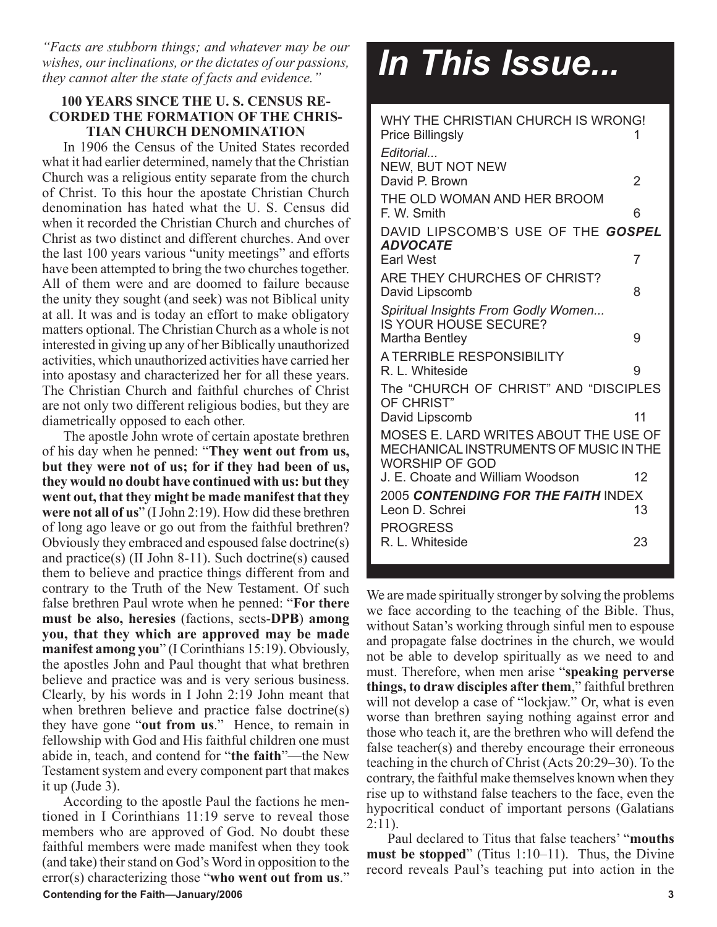*"Facts are stubborn things; and whatever may be our wishes, our inclinations, or the dictates of our passions, they cannot alter the state of facts and evidence."*

## **100 YEARS SINCE THE U. S. CENSUS RE-CORDED THE FORMATION OF THE CHRIS-TIAN CHURCH DENOMINATION**

In 1906 the Census of the United States recorded what it had earlier determined, namely that the Christian Church was a religious entity separate from the church of Christ. To this hour the apostate Christian Church denomination has hated what the U. S. Census did when it recorded the Christian Church and churches of Christ as two distinct and different churches. And over the last 100 years various "unity meetings" and efforts have been attempted to bring the two churches together. All of them were and are doomed to failure because the unity they sought (and seek) was not Biblical unity at all. It was and is today an effort to make obligatory matters optional. The Christian Church as a whole is not interested in giving up any of her Biblically unauthorized activities, which unauthorized activities have carried her into apostasy and characterized her for all these years. The Christian Church and faithful churches of Christ are not only two different religious bodies, but they are diametrically opposed to each other.

The apostle John wrote of certain apostate brethren of his day when he penned: "**They went out from us, but they were not of us; for if they had been of us, they would no doubt have continued with us: but they went out, that they might be made manifest that they were not all of us**" (I John 2:19). How did these brethren of long ago leave or go out from the faithful brethren? Obviously they embraced and espoused false doctrine(s) and practice(s) (II John 8-11). Such doctrine(s) caused them to believe and practice things different from and contrary to the Truth of the New Testament. Of such false brethren Paul wrote when he penned: "**For there must be also, heresies** (factions, sects-**DPB**) **among you, that they which are approved may be made manifest among you**" (I Corinthians 15:19). Obviously, the apostles John and Paul thought that what brethren believe and practice was and is very serious business. Clearly, by his words in I John 2:19 John meant that when brethren believe and practice false doctrine(s) they have gone "**out from us**." Hence, to remain in fellowship with God and His faithful children one must abide in, teach, and contend for "**the faith**"—the New Testament system and every component part that makes it up (Jude 3).

**Contending for the Faith—January/2006 3** According to the apostle Paul the factions he mentioned in I Corinthians 11:19 serve to reveal those members who are approved of God. No doubt these faithful members were made manifest when they took (and take) their stand on God's Word in opposition to the error(s) characterizing those "**who went out from us**."

# *In This Issue...*

| WHY THE CHRISTIAN CHURCH IS WRONG!<br><b>Price Billingsly</b><br>Editorial                               | 1  |
|----------------------------------------------------------------------------------------------------------|----|
| <b>NEW, BUT NOT NEW</b><br>David P. Brown                                                                | 2  |
| THE OLD WOMAN AND HER BROOM<br>F. W. Smith                                                               | 6  |
| DAVID LIPSCOMB'S USE OF THE GOSPEL<br><b>ADVOCATE</b>                                                    |    |
| <b>Earl West</b>                                                                                         | 7  |
| ARE THEY CHURCHES OF CHRIST?<br>David Lipscomb                                                           | 8  |
| Spiritual Insights From Godly Women                                                                      |    |
| IS YOUR HOUSE SECURE?<br>Martha Bentley                                                                  | 9  |
| A TERRIBLE RESPONSIBILITY<br>R. L. Whiteside                                                             | 9  |
| The "CHURCH OF CHRIST" AND "DISCIPLES<br>OF CHRIST"                                                      |    |
| David Lipscomb                                                                                           | 11 |
| MOSES E. LARD WRITES ABOUT THE USE OF<br>MECHANICAL INSTRUMENTS OF MUSIC IN THE<br><b>WORSHIP OF GOD</b> |    |
| J. E. Choate and William Woodson                                                                         | 12 |
| 2005 CONTENDING FOR THE FAITH INDEX                                                                      |    |
| Leon D. Schrei                                                                                           | 13 |
| <b>PROGRESS</b>                                                                                          |    |
| R. L. Whiteside                                                                                          | 23 |

We are made spiritually stronger by solving the problems we face according to the teaching of the Bible. Thus, without Satan's working through sinful men to espouse and propagate false doctrines in the church, we would not be able to develop spiritually as we need to and must. Therefore, when men arise "**speaking perverse things, to draw disciples after them**," faithful brethren will not develop a case of "lockjaw." Or, what is even worse than brethren saying nothing against error and those who teach it, are the brethren who will defend the false teacher(s) and thereby encourage their erroneous teaching in the church of Christ (Acts 20:29–30). To the contrary, the faithful make themselves known when they rise up to withstand false teachers to the face, even the hypocritical conduct of important persons (Galatians  $2:11$ ).

Paul declared to Titus that false teachers' "**mouths must be stopped**" (Titus 1:10–11). Thus, the Divine record reveals Paul's teaching put into action in the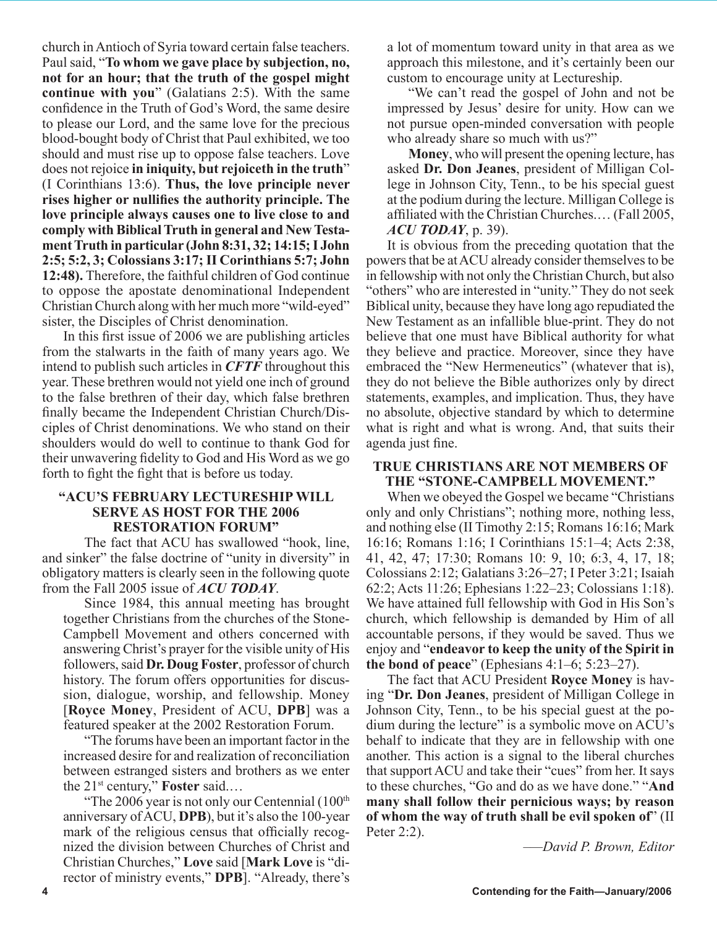church in Antioch of Syria toward certain false teachers. Paul said, "**To whom we gave place by subjection, no, not for an hour; that the truth of the gospel might continue with you**" (Galatians 2:5). With the same confidence in the Truth of God's Word, the same desire to please our Lord, and the same love for the precious blood-bought body of Christ that Paul exhibited, we too should and must rise up to oppose false teachers. Love does not rejoice **in iniquity, but rejoiceth in the truth**" (I Corinthians 13:6). **Thus, the love principle never rises higher or nullifies the authority principle. The love principle always causes one to live close to and comply with Biblical Truth in general and New Testament Truth in particular (John 8:31, 32; 14:15; I John 2:5; 5:2, 3; Colossians 3:17; II Corinthians 5:7; John 12:48).** Therefore, the faithful children of God continue to oppose the apostate denominational Independent Christian Church along with her much more "wild-eyed" sister, the Disciples of Christ denomination.

In this first issue of 2006 we are publishing articles from the stalwarts in the faith of many years ago. We intend to publish such articles in *CFTF* throughout this year. These brethren would not yield one inch of ground to the false brethren of their day, which false brethren finally became the Independent Christian Church/Disciples of Christ denominations. We who stand on their shoulders would do well to continue to thank God for their unwavering fidelity to God and His Word as we go forth to fight the fight that is before us today.

## **"ACU'S FEBRUARY LECTURESHIP WILL SERVE AS HOST FOR THE 2006 RESTORATION FORUM"**

 The fact that ACU has swallowed "hook, line, and sinker" the false doctrine of "unity in diversity" in obligatory matters is clearly seen in the following quote from the Fall 2005 issue of *ACU TODAY*.

Since 1984, this annual meeting has brought together Christians from the churches of the Stone-Campbell Movement and others concerned with answering Christ's prayer for the visible unity of His followers, said **Dr. Doug Foster**, professor of church history. The forum offers opportunities for discussion, dialogue, worship, and fellowship. Money [**Royce Money**, President of ACU, **DPB**] was a featured speaker at the 2002 Restoration Forum.

"The forums have been an important factor in the increased desire for and realization of reconciliation between estranged sisters and brothers as we enter the 21st century," **Foster** said.…

"The 2006 year is not only our Centennial  $(100<sup>th</sup>)$ anniversary of ACU, **DPB**), but it's also the 100-year mark of the religious census that officially recognized the division between Churches of Christ and Christian Churches," **Love** said [**Mark Love** is "director of ministry events," **DPB**]. "Already, there's a lot of momentum toward unity in that area as we approach this milestone, and it's certainly been our custom to encourage unity at Lectureship.

"We can't read the gospel of John and not be impressed by Jesus' desire for unity. How can we not pursue open-minded conversation with people who already share so much with us?"

**Money**, who will present the opening lecture, has asked **Dr. Don Jeanes**, president of Milligan College in Johnson City, Tenn., to be his special guest at the podium during the lecture. Milligan College is affiliated with the Christian Churches.… (Fall 2005, *ACU TODAY*, p. 39).

It is obvious from the preceding quotation that the powers that be at ACU already consider themselves to be in fellowship with not only the Christian Church, but also "others" who are interested in "unity." They do not seek Biblical unity, because they have long ago repudiated the New Testament as an infallible blue-print. They do not believe that one must have Biblical authority for what they believe and practice. Moreover, since they have embraced the "New Hermeneutics" (whatever that is), they do not believe the Bible authorizes only by direct statements, examples, and implication. Thus, they have no absolute, objective standard by which to determine what is right and what is wrong. And, that suits their agenda just fine.

### **TRUE CHRISTIANS ARE NOT MEMBERS OF THE "STONE-CAMPBELL MOVEMENT."**

When we obeyed the Gospel we became "Christians only and only Christians"; nothing more, nothing less, and nothing else (II Timothy 2:15; Romans 16:16; Mark 16:16; Romans 1:16; I Corinthians 15:1–4; Acts 2:38, 41, 42, 47; 17:30; Romans 10: 9, 10; 6:3, 4, 17, 18; Colossians 2:12; Galatians 3:26–27; I Peter 3:21; Isaiah 62:2; Acts 11:26; Ephesians 1:22–23; Colossians 1:18). We have attained full fellowship with God in His Son's church, which fellowship is demanded by Him of all accountable persons, if they would be saved. Thus we enjoy and "**endeavor to keep the unity of the Spirit in the bond of peace**" (Ephesians 4:1–6; 5:23–27).

The fact that ACU President **Royce Money** is having "**Dr. Don Jeanes**, president of Milligan College in Johnson City, Tenn., to be his special guest at the podium during the lecture" is a symbolic move on ACU's behalf to indicate that they are in fellowship with one another. This action is a signal to the liberal churches that support ACU and take their "cues" from her. It says to these churches, "Go and do as we have done." "**And many shall follow their pernicious ways; by reason of whom the way of truth shall be evil spoken of**" (II Peter 2:2).

*–—David P. Brown, Editor*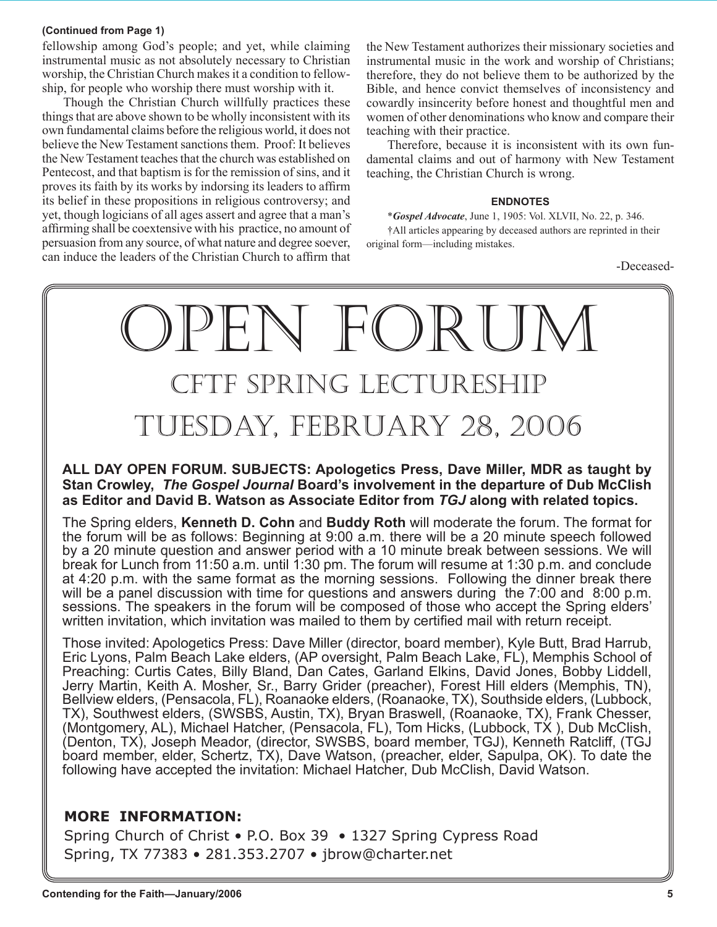#### **(Continued from Page 1)**

fellowship among God's people; and yet, while claiming instrumental music as not absolutely necessary to Christian worship, the Christian Church makes it a condition to fellowship, for people who worship there must worship with it.

Though the Christian Church willfully practices these things that are above shown to be wholly inconsistent with its own fundamental claims before the religious world, it does not believe the New Testament sanctions them. Proof: It believes the New Testament teaches that the church was established on Pentecost, and that baptism is for the remission of sins, and it proves its faith by its works by indorsing its leaders to affirm its belief in these propositions in religious controversy; and yet, though logicians of all ages assert and agree that a man's affirming shall be coextensive with his practice, no amount of persuasion from any source, of what nature and degree soever, can induce the leaders of the Christian Church to affirm that

the New Testament authorizes their missionary societies and instrumental music in the work and worship of Christians; therefore, they do not believe them to be authorized by the Bible, and hence convict themselves of inconsistency and cowardly insincerity before honest and thoughtful men and women of other denominations who know and compare their teaching with their practice.

Therefore, because it is inconsistent with its own fundamental claims and out of harmony with New Testament teaching, the Christian Church is wrong.

#### **ENDNOTES**

\**Gospel Advocate*, June 1, 1905: Vol. XLVII, No. 22, p. 346. †All articles appearing by deceased authors are reprinted in their original form—including mistakes.

-Deceased-



## **ALL DAY OPEN FORUM. SUBJECTS: Apologetics Press, Dave Miller, MDR as taught by Stan Crowley,** *The Gospel Journal* **Board's involvement in the departure of Dub McClish as Editor and David B. Watson as Associate Editor from** *TGJ* **along with related topics.**

The Spring elders, **Kenneth D. Cohn** and **Buddy Roth** will moderate the forum. The format for the forum will be as follows: Beginning at 9:00 a.m. there will be a 20 minute speech followed by a 20 minute question and answer period with a 10 minute break between sessions. We will break for Lunch from 11:50 a.m. until 1:30 pm. The forum will resume at 1:30 p.m. and conclude at 4:20 p.m. with the same format as the morning sessions. Following the dinner break there will be a panel discussion with time for questions and answers during the 7:00 and 8:00 p.m. sessions. The speakers in the forum will be composed of those who accept the Spring elders' written invitation, which invitation was mailed to them by certified mail with return receipt.

Those invited: Apologetics Press: Dave Miller (director, board member), Kyle Butt, Brad Harrub, Eric Lyons, Palm Beach Lake elders, (AP oversight, Palm Beach Lake, FL), Memphis School of Preaching: Curtis Cates, Billy Bland, Dan Cates, Garland Elkins, David Jones, Bobby Liddell, Jerry Martin, Keith A. Mosher, Sr., Barry Grider (preacher), Forest Hill elders (Memphis, TN), Bellview elders, (Pensacola, FL), Roanaoke elders, (Roanaoke, TX), Southside elders, (Lubbock, TX), Southwest elders, (SWSBS, Austin, TX), Bryan Braswell, (Roanaoke, TX), Frank Chesser, (Montgomery, AL), Michael Hatcher, (Pensacola, FL), Tom Hicks, (Lubbock, TX ), Dub McClish, (Denton, TX), Joseph Meador, (director, SWSBS, board member, TGJ), Kenneth Ratcliff, (TGJ board member, elder, Schertz, TX), Dave Watson, (preacher, elder, Sapulpa, OK). To date the following have accepted the invitation: Michael Hatcher, Dub McClish, David Watson.

## **MORE INFORMATION:**

Spring Church of Christ • P.O. Box 39 • 1327 Spring Cypress Road Spring, TX 77383 • 281.353.2707 • jbrow@charter.net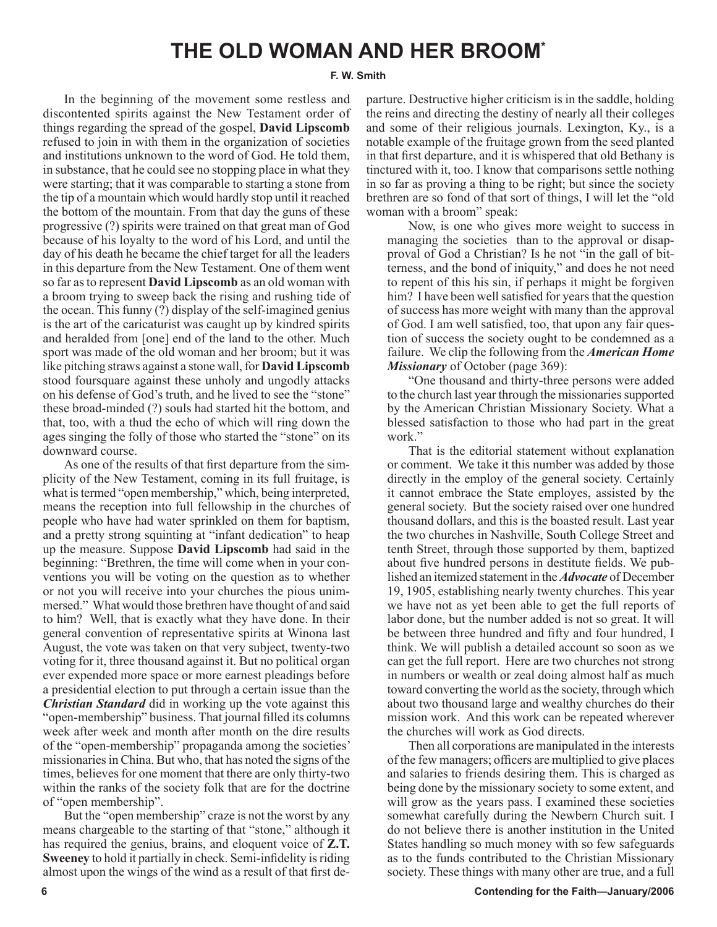## **THE OLD WOMAN AND HER BROOM\***

#### **F. W. Smith**

In the beginning of the movement some restless and discontented spirits against the New Testament order of things regarding the spread of the gospel, **David Lipscomb** refused to join in with them in the organization of societies and institutions unknown to the word of God. He told them, in substance, that he could see no stopping place in what they were starting; that it was comparable to starting a stone from the tip of a mountain which would hardly stop until it reached the bottom of the mountain. From that day the guns of these progressive (?) spirits were trained on that great man of God because of his loyalty to the word of his Lord, and until the day of his death he became the chief target for all the leaders in this departure from the New Testament. One of them went so far as to represent **David Lipscomb** as an old woman with a broom trying to sweep back the rising and rushing tide of the ocean. This funny (?) display of the self-imagined genius is the art of the caricaturist was caught up by kindred spirits and heralded from [one] end of the land to the other. Much sport was made of the old woman and her broom; but it was like pitching straws against a stone wall, for **David Lipscomb** stood foursquare against these unholy and ungodly attacks on his defense of God's truth, and he lived to see the "stone" these broad-minded (?) souls had started hit the bottom, and that, too, with a thud the echo of which will ring down the ages singing the folly of those who started the "stone" on its downward course.

As one of the results of that first departure from the simplicity of the New Testament, coming in its full fruitage, is what is termed "open membership," which, being interpreted, means the reception into full fellowship in the churches of people who have had water sprinkled on them for baptism, and a pretty strong squinting at "infant dedication" to heap up the measure. Suppose **David Lipscomb** had said in the beginning: "Brethren, the time will come when in your conventions you will be voting on the question as to whether or not you will receive into your churches the pious unimmersed." What would those brethren have thought of and said to him? Well, that is exactly what they have done. In their general convention of representative spirits at Winona last August, the vote was taken on that very subject, twenty-two voting for it, three thousand against it. But no political organ ever expended more space or more earnest pleadings before a presidential election to put through a certain issue than the *Christian Standard* did in working up the vote against this "open-membership" business. That journal filled its columns week after week and month after month on the dire results of the "open-membership" propaganda among the societies' missionaries in China. But who, that has noted the signs of the times, believes for one moment that there are only thirty-two within the ranks of the society folk that are for the doctrine of "open membership".

But the "open membership" craze is not the worst by any means chargeable to the starting of that "stone," although it has required the genius, brains, and eloquent voice of **Z.T. Sweeney** to hold it partially in check. Semi-infidelity is riding almost upon the wings of the wind as a result of that first departure. Destructive higher criticism is in the saddle, holding the reins and directing the destiny of nearly all their colleges and some of their religious journals. Lexington, Ky., is a notable example of the fruitage grown from the seed planted in that first departure, and it is whispered that old Bethany is tinctured with it, too. I know that comparisons settle nothing in so far as proving a thing to be right; but since the society brethren are so fond of that sort of things, I will let the "old woman with a broom" speak:

Now, is one who gives more weight to success in managing the societies than to the approval or disapproval of God a Christian? Is he not "in the gall of bitterness, and the bond of iniquity," and does he not need to repent of this his sin, if perhaps it might be forgiven him? I have been well satisfied for years that the question of success has more weight with many than the approval of God. I am well satisfied, too, that upon any fair question of success the society ought to be condemned as a failure. We clip the following from the *American Home Missionary* of October (page 369):

"One thousand and thirty-three persons were added to the church last year through the missionaries supported by the American Christian Missionary Society. What a blessed satisfaction to those who had part in the great work"

That is the editorial statement without explanation or comment. We take it this number was added by those directly in the employ of the general society. Certainly it cannot embrace the State employes, assisted by the general society. But the society raised over one hundred thousand dollars, and this is the boasted result. Last year the two churches in Nashville, South College Street and tenth Street, through those supported by them, baptized about five hundred persons in destitute fields. We published an itemized statement in the *Advocate* of December 19, 1905, establishing nearly twenty churches. This year we have not as yet been able to get the full reports of labor done, but the number added is not so great. It will be between three hundred and fifty and four hundred, I think. We will publish a detailed account so soon as we can get the full report. Here are two churches not strong in numbers or wealth or zeal doing almost half as much toward converting the world as the society, through which about two thousand large and wealthy churches do their mission work. And this work can be repeated wherever the churches will work as God directs.

Then all corporations are manipulated in the interests of the few managers; officers are multiplied to give places and salaries to friends desiring them. This is charged as being done by the missionary society to some extent, and will grow as the years pass. I examined these societies somewhat carefully during the Newbern Church suit. I do not believe there is another institution in the United States handling so much money with so few safeguards as to the funds contributed to the Christian Missionary society. These things with many other are true, and a full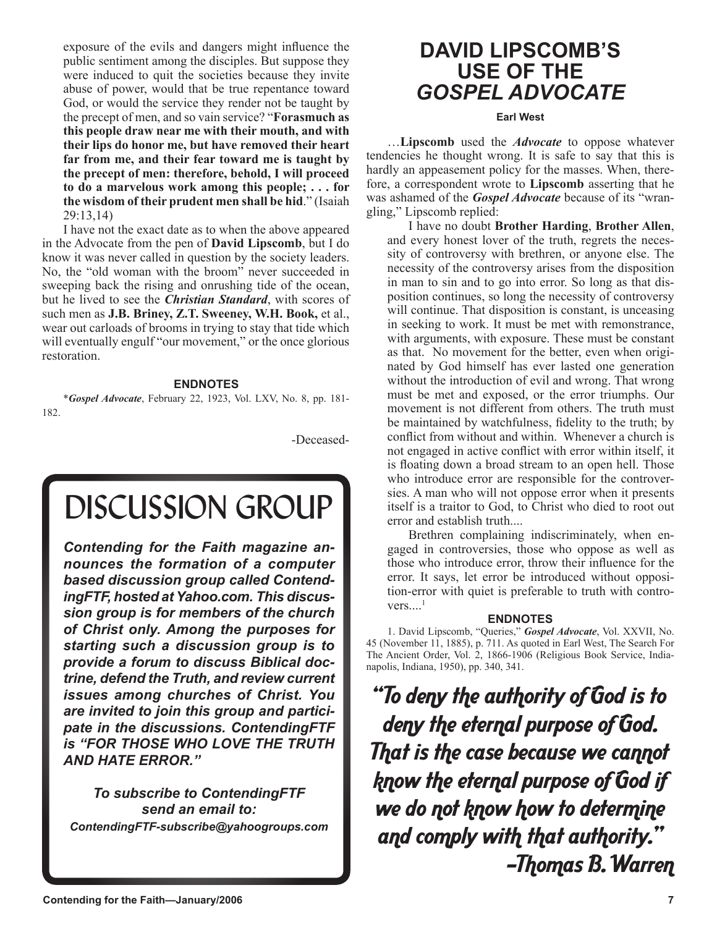exposure of the evils and dangers might influence the public sentiment among the disciples. But suppose they were induced to quit the societies because they invite abuse of power, would that be true repentance toward God, or would the service they render not be taught by the precept of men, and so vain service? "**Forasmuch as this people draw near me with their mouth, and with their lips do honor me, but have removed their heart far from me, and their fear toward me is taught by the precept of men: therefore, behold, I will proceed to do a marvelous work among this people; . . . for the wisdom of their prudent men shall be hid**." (Isaiah 29:13,14)

I have not the exact date as to when the above appeared in the Advocate from the pen of **David Lipscomb**, but I do know it was never called in question by the society leaders. No, the "old woman with the broom" never succeeded in sweeping back the rising and onrushing tide of the ocean, but he lived to see the *Christian Standard*, with scores of such men as **J.B. Briney, Z.T. Sweeney, W.H. Book,** et al., wear out carloads of brooms in trying to stay that tide which will eventually engulf "our movement," or the once glorious restoration.

#### **ENDNOTES**

\**Gospel Advocate*, February 22, 1923, Vol. LXV, No. 8, pp. 181- 182.

-Deceased-

# DISCUSSION GROUP

*Contending for the Faith magazine announces the formation of a computer based discussion group called ContendingFTF, hosted at Yahoo.com. This discussion group is for members of the church of Christ only. Among the purposes for starting such a discussion group is to provide a forum to discuss Biblical doctrine, defend the Truth, and review current issues among churches of Christ. You are invited to join this group and participate in the discussions. ContendingFTF is "FOR THOSE WHO LOVE THE TRUTH AND HATE ERROR."*

*To subscribe to ContendingFTF send an email to: ContendingFTF-subscribe@yahoogroups.com*

## **DAVID LIPSCOMB'S USE OF THE** *GOSPEL ADVOCATE*

#### **Earl West**

…**Lipscomb** used the *Advocate* to oppose whatever tendencies he thought wrong. It is safe to say that this is hardly an appeasement policy for the masses. When, therefore, a correspondent wrote to **Lipscomb** asserting that he was ashamed of the *Gospel Advocate* because of its "wrangling," Lipscomb replied:

I have no doubt **Brother Harding**, **Brother Allen**, and every honest lover of the truth, regrets the necessity of controversy with brethren, or anyone else. The necessity of the controversy arises from the disposition in man to sin and to go into error. So long as that disposition continues, so long the necessity of controversy will continue. That disposition is constant, is unceasing in seeking to work. It must be met with remonstrance, with arguments, with exposure. These must be constant as that. No movement for the better, even when originated by God himself has ever lasted one generation without the introduction of evil and wrong. That wrong must be met and exposed, or the error triumphs. Our movement is not different from others. The truth must be maintained by watchfulness, fidelity to the truth; by conflict from without and within. Whenever a church is not engaged in active conflict with error within itself, it is floating down a broad stream to an open hell. Those who introduce error are responsible for the controversies. A man who will not oppose error when it presents itself is a traitor to God, to Christ who died to root out error and establish truth....

Brethren complaining indiscriminately, when engaged in controversies, those who oppose as well as those who introduce error, throw their influence for the error. It says, let error be introduced without opposition-error with quiet is preferable to truth with contro $vers...$ <sup>1</sup>

## **ENDNOTES**

1. David Lipscomb, "Queries," *Gospel Advocate*, Vol. XXVII, No. 45 (November 11, 1885), p. 711. As quoted in Earl West, The Search For The Ancient Order, Vol. 2, 1866-1906 (Religious Book Service, Indianapolis, Indiana, 1950), pp. 340, 341.

"To deny the authority of God is to deny the eternal purpose of God. That is the case because we cannot know the eternal purpose of God if we do not know how to determine and comply with that authority." —Thomas B. Warren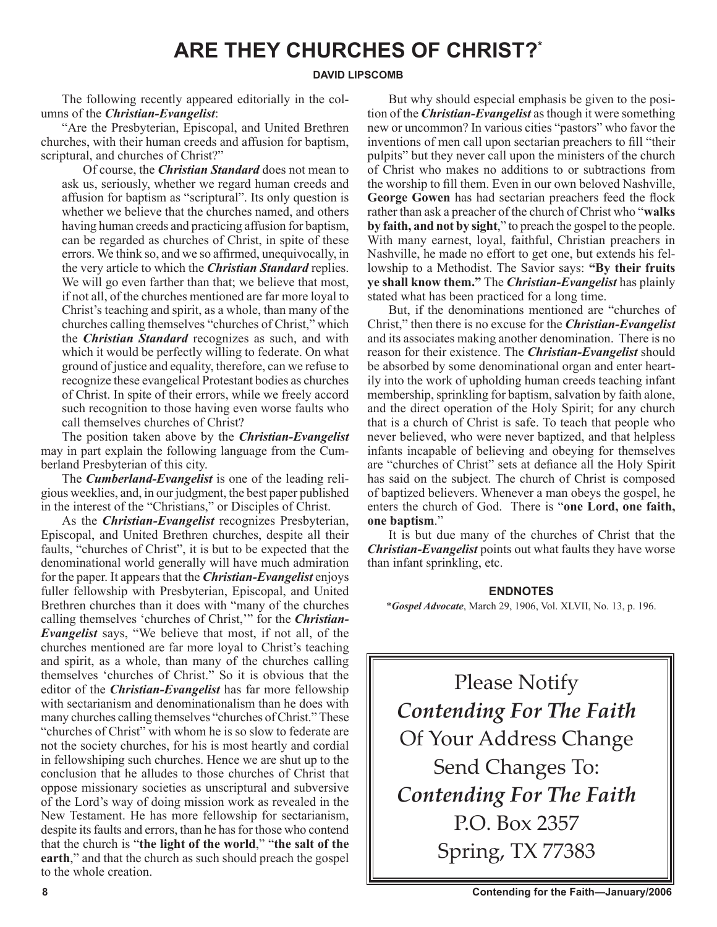## **ARE THEY CHURCHES OF CHRIST?\***

#### **DAVID LIPSCOMB**

The following recently appeared editorially in the columns of the *Christian-Evangelist*:

"Are the Presbyterian, Episcopal, and United Brethren churches, with their human creeds and affusion for baptism, scriptural, and churches of Christ?"

Of course, the *Christian Standard* does not mean to ask us, seriously, whether we regard human creeds and affusion for baptism as "scriptural". Its only question is whether we believe that the churches named, and others having human creeds and practicing affusion for baptism, can be regarded as churches of Christ, in spite of these errors. We think so, and we so affirmed, unequivocally, in the very article to which the *Christian Standard* replies. We will go even farther than that; we believe that most, if not all, of the churches mentioned are far more loyal to Christ's teaching and spirit, as a whole, than many of the churches calling themselves "churches of Christ," which the *Christian Standard* recognizes as such, and with which it would be perfectly willing to federate. On what ground of justice and equality, therefore, can we refuse to recognize these evangelical Protestant bodies as churches of Christ. In spite of their errors, while we freely accord such recognition to those having even worse faults who call themselves churches of Christ?

The position taken above by the *Christian-Evangelist* may in part explain the following language from the Cumberland Presbyterian of this city.

The *Cumberland-Evangelist* is one of the leading religious weeklies, and, in our judgment, the best paper published in the interest of the "Christians," or Disciples of Christ.

As the *Christian-Evangelist* recognizes Presbyterian, Episcopal, and United Brethren churches, despite all their faults, "churches of Christ", it is but to be expected that the denominational world generally will have much admiration for the paper. It appears that the *Christian-Evangelist* enjoys fuller fellowship with Presbyterian, Episcopal, and United Brethren churches than it does with "many of the churches calling themselves 'churches of Christ,'" for the *Christian-Evangelist* says, "We believe that most, if not all, of the churches mentioned are far more loyal to Christ's teaching and spirit, as a whole, than many of the churches calling themselves 'churches of Christ." So it is obvious that the editor of the *Christian-Evangelist* has far more fellowship with sectarianism and denominationalism than he does with many churches calling themselves "churches of Christ." These "churches of Christ" with whom he is so slow to federate are not the society churches, for his is most heartly and cordial in fellowshiping such churches. Hence we are shut up to the conclusion that he alludes to those churches of Christ that oppose missionary societies as unscriptural and subversive of the Lord's way of doing mission work as revealed in the New Testament. He has more fellowship for sectarianism, despite its faults and errors, than he has for those who contend that the church is "**the light of the world**," "**the salt of the earth**," and that the church as such should preach the gospel to the whole creation.

But why should especial emphasis be given to the position of the *Christian-Evangelist* as though it were something new or uncommon? In various cities "pastors" who favor the inventions of men call upon sectarian preachers to fill "their pulpits" but they never call upon the ministers of the church of Christ who makes no additions to or subtractions from the worship to fill them. Even in our own beloved Nashville, **George Gowen** has had sectarian preachers feed the flock rather than ask a preacher of the church of Christ who "**walks by faith, and not by sight**," to preach the gospel to the people. With many earnest, loyal, faithful, Christian preachers in Nashville, he made no effort to get one, but extends his fellowship to a Methodist. The Savior says: **"By their fruits ye shall know them."** The *Christian-Evangelist* has plainly stated what has been practiced for a long time.

But, if the denominations mentioned are "churches of Christ," then there is no excuse for the *Christian-Evangelist* and its associates making another denomination. There is no reason for their existence. The *Christian-Evangelist* should be absorbed by some denominational organ and enter heartily into the work of upholding human creeds teaching infant membership, sprinkling for baptism, salvation by faith alone, and the direct operation of the Holy Spirit; for any church that is a church of Christ is safe. To teach that people who never believed, who were never baptized, and that helpless infants incapable of believing and obeying for themselves are "churches of Christ" sets at defiance all the Holy Spirit has said on the subject. The church of Christ is composed of baptized believers. Whenever a man obeys the gospel, he enters the church of God. There is "**one Lord, one faith, one baptism**."

It is but due many of the churches of Christ that the *Christian-Evangelist* points out what faults they have worse than infant sprinkling, etc.

#### **ENDNOTES**

\**Gospel Advocate*, March 29, 1906, Vol. XLVII, No. 13, p. 196.

Please Notify *Contending For The Faith* Of Your Address Change Send Changes To: *Contending For The Faith* P.O. Box 2357 Spring, TX 77383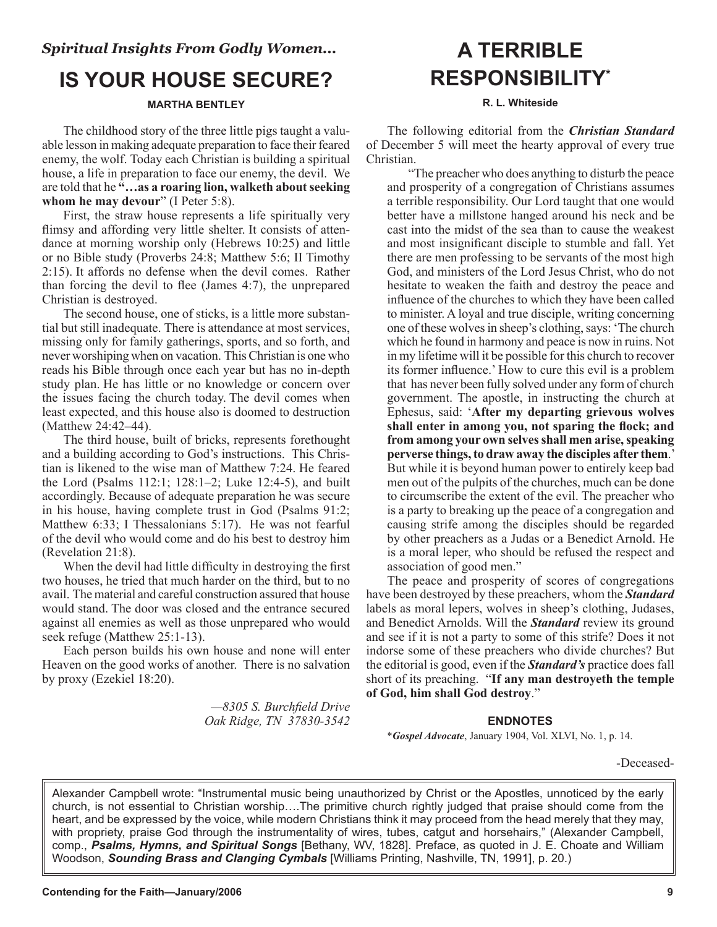## **IS YOUR HOUSE SECURE?**

## **MARTHA BENTLEY**

The childhood story of the three little pigs taught a valuable lesson in making adequate preparation to face their feared enemy, the wolf. Today each Christian is building a spiritual house, a life in preparation to face our enemy, the devil. We are told that he **"…as a roaring lion, walketh about seeking whom he may devour**" (I Peter 5:8).

First, the straw house represents a life spiritually very flimsy and affording very little shelter. It consists of attendance at morning worship only (Hebrews 10:25) and little or no Bible study (Proverbs 24:8; Matthew 5:6; II Timothy 2:15). It affords no defense when the devil comes. Rather than forcing the devil to flee (James 4:7), the unprepared Christian is destroyed.

The second house, one of sticks, is a little more substantial but still inadequate. There is attendance at most services, missing only for family gatherings, sports, and so forth, and never worshiping when on vacation. This Christian is one who reads his Bible through once each year but has no in-depth study plan. He has little or no knowledge or concern over the issues facing the church today. The devil comes when least expected, and this house also is doomed to destruction (Matthew 24:42–44).

The third house, built of bricks, represents forethought and a building according to God's instructions. This Christian is likened to the wise man of Matthew 7:24. He feared the Lord (Psalms 112:1; 128:1–2; Luke 12:4-5), and built accordingly. Because of adequate preparation he was secure in his house, having complete trust in God (Psalms 91:2; Matthew 6:33; I Thessalonians 5:17). He was not fearful of the devil who would come and do his best to destroy him (Revelation 21:8).

When the devil had little difficulty in destroying the first two houses, he tried that much harder on the third, but to no avail. The material and careful construction assured that house would stand. The door was closed and the entrance secured against all enemies as well as those unprepared who would seek refuge (Matthew 25:1-13).

Each person builds his own house and none will enter Heaven on the good works of another. There is no salvation by proxy (Ezekiel 18:20).

> *—8305 S. Burchfield Drive Oak Ridge, TN 37830-3542*

## **A TERRIBLE RESPONSIBILITY\***

### **R. L. Whiteside**

The following editorial from the *Christian Standard* of December 5 will meet the hearty approval of every true Christian.

"The preacher who does anything to disturb the peace and prosperity of a congregation of Christians assumes a terrible responsibility. Our Lord taught that one would better have a millstone hanged around his neck and be cast into the midst of the sea than to cause the weakest and most insignificant disciple to stumble and fall. Yet there are men professing to be servants of the most high God, and ministers of the Lord Jesus Christ, who do not hesitate to weaken the faith and destroy the peace and influence of the churches to which they have been called to minister. A loyal and true disciple, writing concerning one of these wolves in sheep's clothing, says: 'The church which he found in harmony and peace is now in ruins. Not in my lifetime will it be possible for this church to recover its former influence.' How to cure this evil is a problem that has never been fully solved under any form of church government. The apostle, in instructing the church at Ephesus, said: '**After my departing grievous wolves shall enter in among you, not sparing the flock; and from among your own selves shall men arise, speaking perverse things, to draw away the disciples after them**.' But while it is beyond human power to entirely keep bad men out of the pulpits of the churches, much can be done to circumscribe the extent of the evil. The preacher who is a party to breaking up the peace of a congregation and causing strife among the disciples should be regarded by other preachers as a Judas or a Benedict Arnold. He is a moral leper, who should be refused the respect and association of good men."

The peace and prosperity of scores of congregations have been destroyed by these preachers, whom the *Standard* labels as moral lepers, wolves in sheep's clothing, Judases, and Benedict Arnolds. Will the *Standard* review its ground and see if it is not a party to some of this strife? Does it not indorse some of these preachers who divide churches? But the editorial is good, even if the *Standard's* practice does fall short of its preaching. "**If any man destroyeth the temple of God, him shall God destroy**."

## **ENDNOTES**

\**Gospel Advocate*, January 1904, Vol. XLVI, No. 1, p. 14.

-Deceased-

Alexander Campbell wrote: "Instrumental music being unauthorized by Christ or the Apostles, unnoticed by the early church, is not essential to Christian worship….The primitive church rightly judged that praise should come from the heart, and be expressed by the voice, while modern Christians think it may proceed from the head merely that they may, with propriety, praise God through the instrumentality of wires, tubes, catgut and horsehairs," (Alexander Campbell, comp., *Psalms, Hymns, and Spiritual Songs* [Bethany, WV, 1828]. Preface, as quoted in J. E. Choate and William Woodson, *Sounding Brass and Clanging Cymbals* [Williams Printing, Nashville, TN, 1991], p. 20.)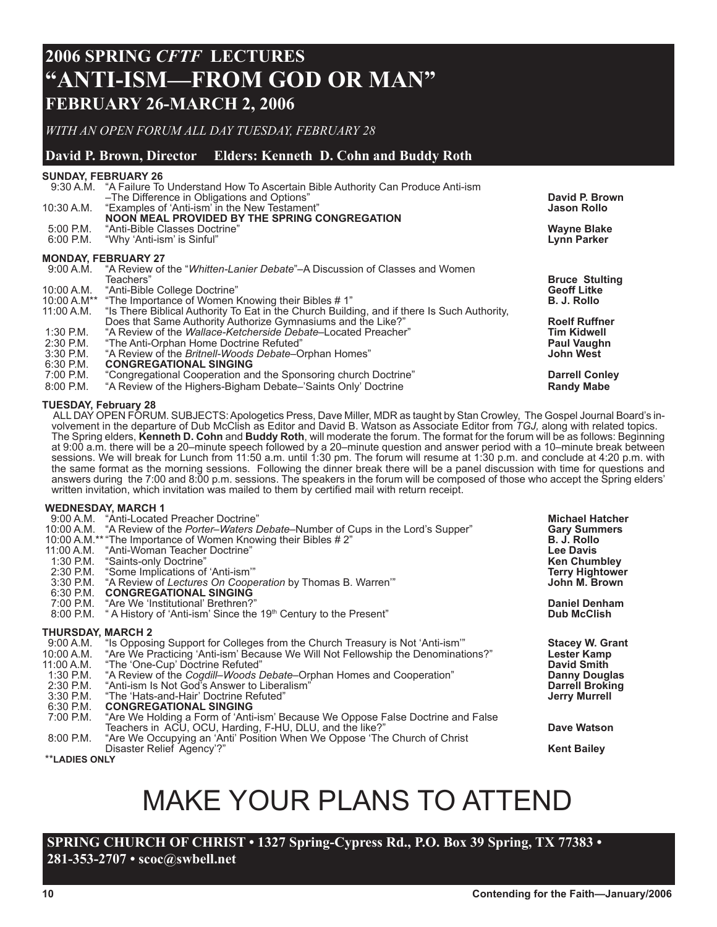## **2006 SPRING** *CFTF* **LECTURES "ANTI-ISM—FROM GOD OR MAN" FEBRUARY 26-MARCH 2, 2006**

*WITH AN OPEN FORUM ALL DAY TUESDAY, FEBRUARY 28*

## **David P. Brown, Director Elders: Kenneth D. Cohn and Buddy Roth**

## **SUNDAY, FEBRUARY 26** 9:30 A.M. "A Failure To Understand How To Ascertain Bible Authority Can Produce Anti-ism –The Difference in Obligations and Options" **David P. Brown** "Examples of 'Anti-ism' in the New Testament" **NOON MEAL PROVIDED BY THE SPRING CONGREGATION**<br>5:00 P.M. "Anti-Bible Classes Doctrine" 5:00 P.M. "Anti-Bible Classes Doctrine" **Wayne Blake** "Why 'Anti-ism' is Sinful' **MONDAY, FEBRUARY 27** 9:00 A.M. "A Review of the "*Whitten-Lanier Debate*"–A Discussion of Classes and Women Teachers" **Bruce Stulting**  11:00 A.M\*\* "The Importance of Women Knowing their Bibles # 1"<br>11:00 A.M. "Is There Biblical Authority To Eat in the Church Building, and if there Is Such Authority,<br>Does that Same Authority Authorize Gymnasiums and the Li

Does that Same Authority Authorize Gymnasiums and the Like?" **Roelf Ruffner** Roelf Ruffner 1:30 P.M. "A Review of the *Wallace-Ketcherside Debate*–Located Preacher" **Tim Kidwell** 2:30 P.M. "The Anti-Orphan Home Doctrine Refuted" **Paul Vaughn**

3:30 P.M. "A Review of the *Britnell-Woods Debate*–Orphan Homes"<br>6:30 P.M. **CONGREGATIONAL SINGING** 

6:30 P.M. **CONGREGATIONAL SINGING**

7:00 P.M. "Congregational Cooperation and the Sponsoring church Doctrine" **Darrell Conley**

8:00 P.M. "A Review of the Highers-Bigham Debate–'Saints Only' Doctrine **Randy Mabe**

#### **TUESDAY, February 28**

ALL DAY OPEN FORUM. SUBJECTS: Apologetics Press, Dave Miller, MDR as taught by Stan Crowley, The Gospel Journal Board's involvement in the departure of Dub McClish as Editor and David B. Watson as Associate Editor from *TGJ,* along with related topics. The Spring elders, **Kenneth D. Cohn** and **Buddy Roth**, will moderate the forum. The format for the forum will be as follows: Beginning at 9:00 a.m. there will be a 20–minute speech followed by a 20–minute question and answer period with a 10–minute break between sessions. We will break for Lunch from 11:50 a.m. until 1:30 pm. The forum will resume at 1:30 p.m. and conclude at 4:20 p.m. with the same format as the morning sessions. Following the dinner break there will be a panel discussion with time for questions and answers during the 7:00 and 8:00 p.m. sessions. The speakers in the forum will be composed of those who accept the Spring elders' written invitation, which invitation was mailed to them by certified mail with return receipt.

#### **WEDNESDAY, MARCH 1**

| 1:30 P.M.<br>6:30 P.M. | 9:00 A.M. "Anti-Located Preacher Doctrine"<br>10:00 A.M. "A Review of the Porter-Waters Debate-Number of Cups in the Lord's Supper"<br>10:00 A.M.** "The Importance of Women Knowing their Bibles # 2"<br>11:00 A.M. "Anti-Woman Teacher Doctrine"<br>"Saints-only Doctrine"<br>2:30 P.M. "Some Implications of 'Anti-ism'"<br>3:30 P.M. "A Review of Lectures On Cooperation by Thomas B. Warren"<br><b>CONGREGATIONAL SINGING</b> | <b>Michael Hatcher</b><br><b>Gary Summers</b><br>B. J. Rollo<br><b>Lee Davis</b><br><b>Ken Chumbley</b><br><b>Terry Hightower</b><br>John M. Brown |
|------------------------|-------------------------------------------------------------------------------------------------------------------------------------------------------------------------------------------------------------------------------------------------------------------------------------------------------------------------------------------------------------------------------------------------------------------------------------|----------------------------------------------------------------------------------------------------------------------------------------------------|
|                        | 7:00 P.M. "Are We 'Institutional' Brethren?"                                                                                                                                                                                                                                                                                                                                                                                        | <b>Daniel Denham</b>                                                                                                                               |
| 8:00 P.M.              | " A History of 'Anti-ism' Since the 19th Century to the Present"                                                                                                                                                                                                                                                                                                                                                                    | <b>Dub McClish</b>                                                                                                                                 |
| THURSDAY, MARCH 2      |                                                                                                                                                                                                                                                                                                                                                                                                                                     |                                                                                                                                                    |
|                        | 9:00 A.M. "Is Opposing Support for Colleges from the Church Treasury is Not 'Anti-ism'"                                                                                                                                                                                                                                                                                                                                             | <b>Stacey W. Grant</b>                                                                                                                             |
| 10:00 A.M.             | "Are We Practicing 'Anti-ism' Because We Will Not Fellowship the Denominations?"                                                                                                                                                                                                                                                                                                                                                    | Lester Kamp                                                                                                                                        |
| 11:00 A.M.             | "The 'One-Cup' Doctrine Refuted"                                                                                                                                                                                                                                                                                                                                                                                                    | <b>David Smith</b>                                                                                                                                 |
| 1:30 P.M.              | "A Review of the <i>Cogdill–Woods Debate–</i> Orphan Homes and Cooperation"                                                                                                                                                                                                                                                                                                                                                         | <b>Danny Douglas</b>                                                                                                                               |
| 2:30 P.M.              | "Anti-ism Is Not God's Answer to Liberalism"                                                                                                                                                                                                                                                                                                                                                                                        | <b>Darrell Broking</b>                                                                                                                             |
| 3:30 P.M.              | "The 'Hats-and-Hair' Doctrine Refuted"                                                                                                                                                                                                                                                                                                                                                                                              | <b>Jerry Murrell</b>                                                                                                                               |
| 6:30 P.M.              | <b>CONGREGATIONAL SINGING</b>                                                                                                                                                                                                                                                                                                                                                                                                       |                                                                                                                                                    |
| 7:00 P.M.              | "Are We Holding a Form of 'Anti-ism' Because We Oppose False Doctrine and False                                                                                                                                                                                                                                                                                                                                                     |                                                                                                                                                    |
|                        | Teachers in ACU, OCU, Harding, F-HU, DLU, and the like?"                                                                                                                                                                                                                                                                                                                                                                            | Dave Watson                                                                                                                                        |
| 8:00 P.M.              | "Are We Occupying an 'Anti' Position When We Oppose 'The Church of Christ                                                                                                                                                                                                                                                                                                                                                           |                                                                                                                                                    |
|                        | Disaster Relief Agency'?"                                                                                                                                                                                                                                                                                                                                                                                                           | <b>Kent Bailey</b>                                                                                                                                 |

\*\***LADIES ONLY**

MAKE YOUR PLANS TO ATTEND

**SPRING CHURCH OF CHRIST • 1327 Spring-Cypress Rd., P.O. Box 39 Spring, TX 77383 • 281-353-2707 • scoc@swbell.net**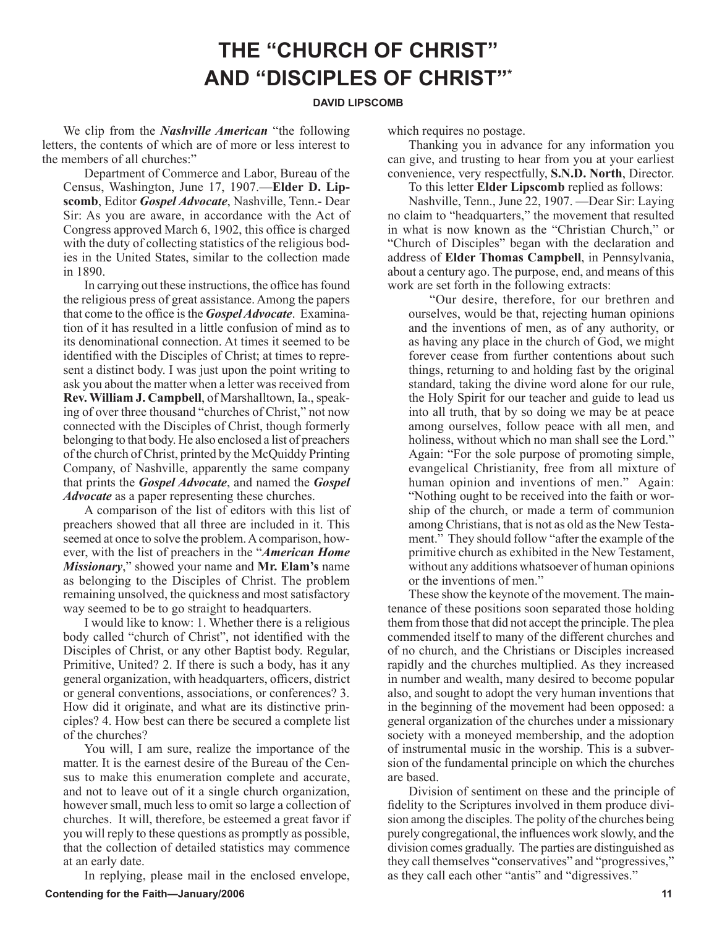## **THE "CHURCH OF CHRIST" AND "DISCIPLES OF CHRIST"\***

#### **DAVID LIPSCOMB**

We clip from the *Nashville American* "the following letters, the contents of which are of more or less interest to the members of all churches:"

Department of Commerce and Labor, Bureau of the Census, Washington, June 17, 1907.—**Elder D. Lipscomb**, Editor *Gospel Advocate*, Nashville, Tenn.- Dear Sir: As you are aware, in accordance with the Act of Congress approved March 6, 1902, this office is charged with the duty of collecting statistics of the religious bodies in the United States, similar to the collection made in 1890.

In carrying out these instructions, the office has found the religious press of great assistance. Among the papers that come to the office is the *Gospel Advocate*. Examination of it has resulted in a little confusion of mind as to its denominational connection. At times it seemed to be identified with the Disciples of Christ; at times to represent a distinct body. I was just upon the point writing to ask you about the matter when a letter was received from **Rev. William J. Campbell**, of Marshalltown, Ia., speaking of over three thousand "churches of Christ," not now connected with the Disciples of Christ, though formerly belonging to that body. He also enclosed a list of preachers of the church of Christ, printed by the McQuiddy Printing Company, of Nashville, apparently the same company that prints the *Gospel Advocate*, and named the *Gospel Advocate* as a paper representing these churches.

A comparison of the list of editors with this list of preachers showed that all three are included in it. This seemed at once to solve the problem. A comparison, however, with the list of preachers in the "*American Home Missionary*," showed your name and **Mr. Elam's** name as belonging to the Disciples of Christ. The problem remaining unsolved, the quickness and most satisfactory way seemed to be to go straight to headquarters.

I would like to know: 1. Whether there is a religious body called "church of Christ", not identified with the Disciples of Christ, or any other Baptist body. Regular, Primitive, United? 2. If there is such a body, has it any general organization, with headquarters, officers, district or general conventions, associations, or conferences? 3. How did it originate, and what are its distinctive principles? 4. How best can there be secured a complete list of the churches?

You will, I am sure, realize the importance of the matter. It is the earnest desire of the Bureau of the Census to make this enumeration complete and accurate, and not to leave out of it a single church organization, however small, much less to omit so large a collection of churches. It will, therefore, be esteemed a great favor if you will reply to these questions as promptly as possible, that the collection of detailed statistics may commence at an early date.

In replying, please mail in the enclosed envelope,

which requires no postage.

Thanking you in advance for any information you can give, and trusting to hear from you at your earliest convenience, very respectfully, **S.N.D. North**, Director.

 To this letter **Elder Lipscomb** replied as follows: Nashville, Tenn., June 22, 1907. —Dear Sir: Laying no claim to "headquarters," the movement that resulted in what is now known as the "Christian Church," or "Church of Disciples" began with the declaration and address of **Elder Thomas Campbell**, in Pennsylvania, about a century ago. The purpose, end, and means of this work are set forth in the following extracts:

"Our desire, therefore, for our brethren and ourselves, would be that, rejecting human opinions and the inventions of men, as of any authority, or as having any place in the church of God, we might forever cease from further contentions about such things, returning to and holding fast by the original standard, taking the divine word alone for our rule, the Holy Spirit for our teacher and guide to lead us into all truth, that by so doing we may be at peace among ourselves, follow peace with all men, and holiness, without which no man shall see the Lord." Again: "For the sole purpose of promoting simple, evangelical Christianity, free from all mixture of human opinion and inventions of men." Again: "Nothing ought to be received into the faith or worship of the church, or made a term of communion among Christians, that is not as old as the New Testament." They should follow "after the example of the primitive church as exhibited in the New Testament, without any additions whatsoever of human opinions or the inventions of men."

These show the keynote of the movement. The maintenance of these positions soon separated those holding them from those that did not accept the principle. The plea commended itself to many of the different churches and of no church, and the Christians or Disciples increased rapidly and the churches multiplied. As they increased in number and wealth, many desired to become popular also, and sought to adopt the very human inventions that in the beginning of the movement had been opposed: a general organization of the churches under a missionary society with a moneyed membership, and the adoption of instrumental music in the worship. This is a subversion of the fundamental principle on which the churches are based.

Division of sentiment on these and the principle of fidelity to the Scriptures involved in them produce division among the disciples. The polity of the churches being purely congregational, the influences work slowly, and the division comes gradually. The parties are distinguished as they call themselves "conservatives" and "progressives," as they call each other "antis" and "digressives."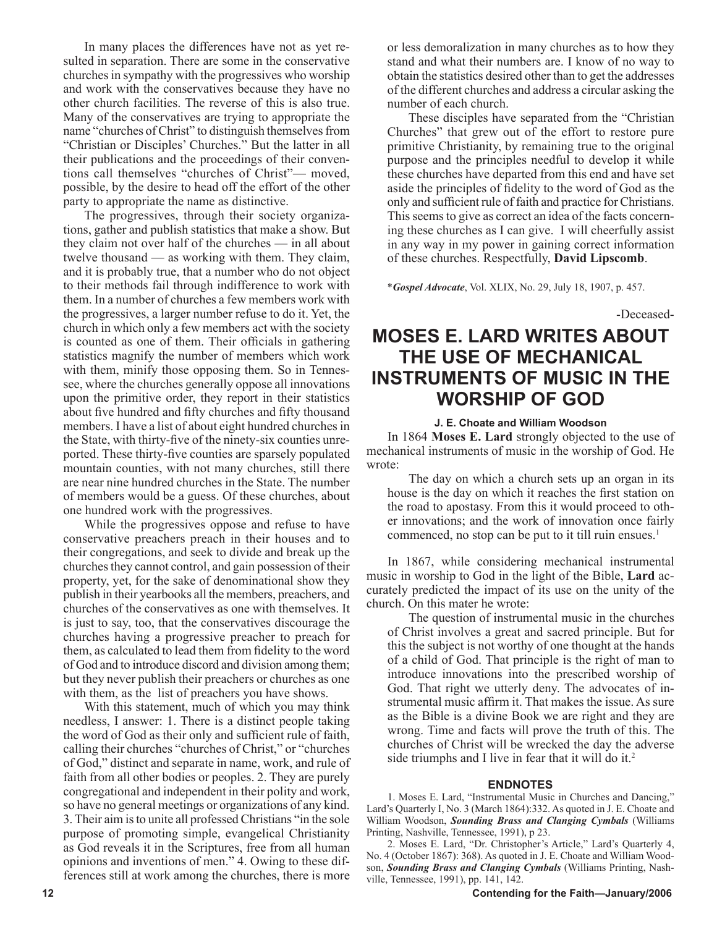In many places the differences have not as yet resulted in separation. There are some in the conservative churches in sympathy with the progressives who worship and work with the conservatives because they have no other church facilities. The reverse of this is also true. Many of the conservatives are trying to appropriate the name "churches of Christ" to distinguish themselves from "Christian or Disciples' Churches." But the latter in all their publications and the proceedings of their conventions call themselves "churches of Christ"— moved, possible, by the desire to head off the effort of the other party to appropriate the name as distinctive.

The progressives, through their society organizations, gather and publish statistics that make a show. But they claim not over half of the churches — in all about twelve thousand — as working with them. They claim, and it is probably true, that a number who do not object to their methods fail through indifference to work with them. In a number of churches a few members work with the progressives, a larger number refuse to do it. Yet, the church in which only a few members act with the society is counted as one of them. Their officials in gathering statistics magnify the number of members which work with them, minify those opposing them. So in Tennessee, where the churches generally oppose all innovations upon the primitive order, they report in their statistics about five hundred and fifty churches and fifty thousand members. I have a list of about eight hundred churches in the State, with thirty-five of the ninety-six counties unreported. These thirty-five counties are sparsely populated mountain counties, with not many churches, still there are near nine hundred churches in the State. The number of members would be a guess. Of these churches, about one hundred work with the progressives.

While the progressives oppose and refuse to have conservative preachers preach in their houses and to their congregations, and seek to divide and break up the churches they cannot control, and gain possession of their property, yet, for the sake of denominational show they publish in their yearbooks all the members, preachers, and churches of the conservatives as one with themselves. It is just to say, too, that the conservatives discourage the churches having a progressive preacher to preach for them, as calculated to lead them from fidelity to the word of God and to introduce discord and division among them; but they never publish their preachers or churches as one with them, as the list of preachers you have shows.

With this statement, much of which you may think needless, I answer: 1. There is a distinct people taking the word of God as their only and sufficient rule of faith, calling their churches "churches of Christ," or "churches of God," distinct and separate in name, work, and rule of faith from all other bodies or peoples. 2. They are purely congregational and independent in their polity and work, so have no general meetings or organizations of any kind. 3. Their aim is to unite all professed Christians "in the sole purpose of promoting simple, evangelical Christianity as God reveals it in the Scriptures, free from all human opinions and inventions of men." 4. Owing to these differences still at work among the churches, there is more or less demoralization in many churches as to how they stand and what their numbers are. I know of no way to obtain the statistics desired other than to get the addresses of the different churches and address a circular asking the number of each church.

These disciples have separated from the "Christian Churches" that grew out of the effort to restore pure primitive Christianity, by remaining true to the original purpose and the principles needful to develop it while these churches have departed from this end and have set aside the principles of fidelity to the word of God as the only and sufficient rule of faith and practice for Christians. This seems to give as correct an idea of the facts concerning these churches as I can give. I will cheerfully assist in any way in my power in gaining correct information of these churches. Respectfully, **David Lipscomb**.

\**Gospel Advocate*, Vol. XLIX, No. 29, July 18, 1907, p. 457.

-Deceased-

## **MOSES E. LARD WRITES ABOUT THE USE OF MECHANICAL INSTRUMENTS OF MUSIC IN THE WORSHIP OF GOD**

#### **J. E. Choate and William Woodson**

In 1864 **Moses E. Lard** strongly objected to the use of mechanical instruments of music in the worship of God. He wrote:

The day on which a church sets up an organ in its house is the day on which it reaches the first station on the road to apostasy. From this it would proceed to other innovations; and the work of innovation once fairly commenced, no stop can be put to it till ruin ensues.<sup>1</sup>

In 1867, while considering mechanical instrumental music in worship to God in the light of the Bible, **Lard** accurately predicted the impact of its use on the unity of the church. On this mater he wrote:

The question of instrumental music in the churches of Christ involves a great and sacred principle. But for this the subject is not worthy of one thought at the hands of a child of God. That principle is the right of man to introduce innovations into the prescribed worship of God. That right we utterly deny. The advocates of instrumental music affirm it. That makes the issue. As sure as the Bible is a divine Book we are right and they are wrong. Time and facts will prove the truth of this. The churches of Christ will be wrecked the day the adverse side triumphs and I live in fear that it will do it.<sup>2</sup>

#### **ENDNOTES**

1. Moses E. Lard, "Instrumental Music in Churches and Dancing," Lard's Quarterly I, No. 3 (March 1864):332. As quoted in J. E. Choate and William Woodson, *Sounding Brass and Clanging Cymbals* (Williams Printing, Nashville, Tennessee, 1991), p 23.

2. Moses E. Lard, "Dr. Christopher's Article," Lard's Quarterly 4, No. 4 (October 1867): 368). As quoted in J. E. Choate and William Woodson, *Sounding Brass and Clanging Cymbals* (Williams Printing, Nashville, Tennessee, 1991), pp. 141, 142.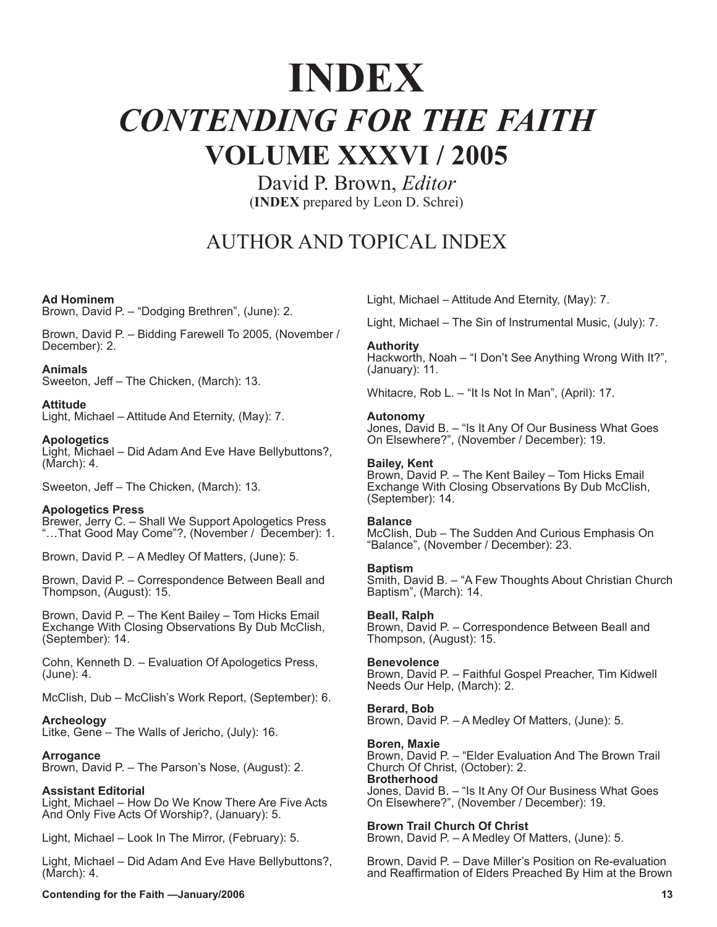# **INDEX** *CONTENDING FOR THE FAITH* **VOLUME XXXVI / 2005**

David P. Brown, *Editor* (**INDEX** prepared by Leon D. Schrei)

## AUTHOR AND TOPICAL INDEX

#### **Ad Hominem**

Brown, David P. – "Dodging Brethren", (June): 2.

Brown, David P. – Bidding Farewell To 2005, (November / December): 2.

#### **Animals**

Sweeton, Jeff – The Chicken, (March): 13.

#### **Attitude**

Light, Michael – Attitude And Eternity, (May): 7.

#### **Apologetics**

Light, Michael – Did Adam And Eve Have Bellybuttons?, (March): 4.

Sweeton, Jeff – The Chicken, (March): 13.

#### **Apologetics Press**

Brewer, Jerry C. – Shall We Support Apologetics Press "…That Good May Come"?, (November / December): 1.

Brown, David P. – A Medley Of Matters, (June): 5.

Brown, David P. – Correspondence Between Beall and Thompson, (August): 15.

Brown, David P. – The Kent Bailey – Tom Hicks Email Exchange With Closing Observations By Dub McClish, (September): 14.

Cohn, Kenneth D. – Evaluation Of Apologetics Press, (June): 4.

McClish, Dub – McClish's Work Report, (September): 6.

#### **Archeology**

Litke, Gene – The Walls of Jericho, (July): 16.

#### **Arrogance**

Brown, David P. – The Parson's Nose, (August): 2.

#### **Assistant Editorial**

Light, Michael – How Do We Know There Are Five Acts And Only Five Acts Of Worship?, (January): 5.

Light, Michael – Look In The Mirror, (February): 5.

Light, Michael – Did Adam And Eve Have Bellybuttons?, (March): 4.

Light, Michael – Attitude And Eternity, (May): 7.

Light, Michael – The Sin of Instrumental Music, (July): 7.

#### **Authority**

Hackworth, Noah – "I Don't See Anything Wrong With It?", (January): 11.

Whitacre, Rob L. – "It Is Not In Man", (April): 17.

#### **Autonomy**

Jones, David B. – "Is It Any Of Our Business What Goes On Elsewhere?", (November / December): 19.

#### **Bailey, Kent**

Brown, David P. – The Kent Bailey – Tom Hicks Email Exchange With Closing Observations By Dub McClish, (September): 14.

#### **Balance**

McClish, Dub – The Sudden And Curious Emphasis On "Balance", (November / December): 23.

#### **Baptism**

Smith, David B. – "A Few Thoughts About Christian Church Baptism", (March): 14.

#### **Beall, Ralph**

Brown, David P. – Correspondence Between Beall and Thompson, (August): 15.

#### **Benevolence**

Brown, David P. – Faithful Gospel Preacher, Tim Kidwell Needs Our Help, (March): 2.

#### **Berard, Bob**

Brown, David P. – A Medley Of Matters, (June): 5.

#### **Boren, Maxie**

Brown, David P. – "Elder Evaluation And The Brown Trail Church Of Christ, (October): 2. **Brotherhood** Jones, David B. – "Is It Any Of Our Business What Goes On Elsewhere?", (November / December): 19.

#### **Brown Trail Church Of Christ**

Brown, David P. – A Medley Of Matters, (June): 5.

Brown, David P. – Dave Miller's Position on Re-evaluation and Reaffirmation of Elders Preached By Him at the Brown

**Contending for the Faith —January/2006 13**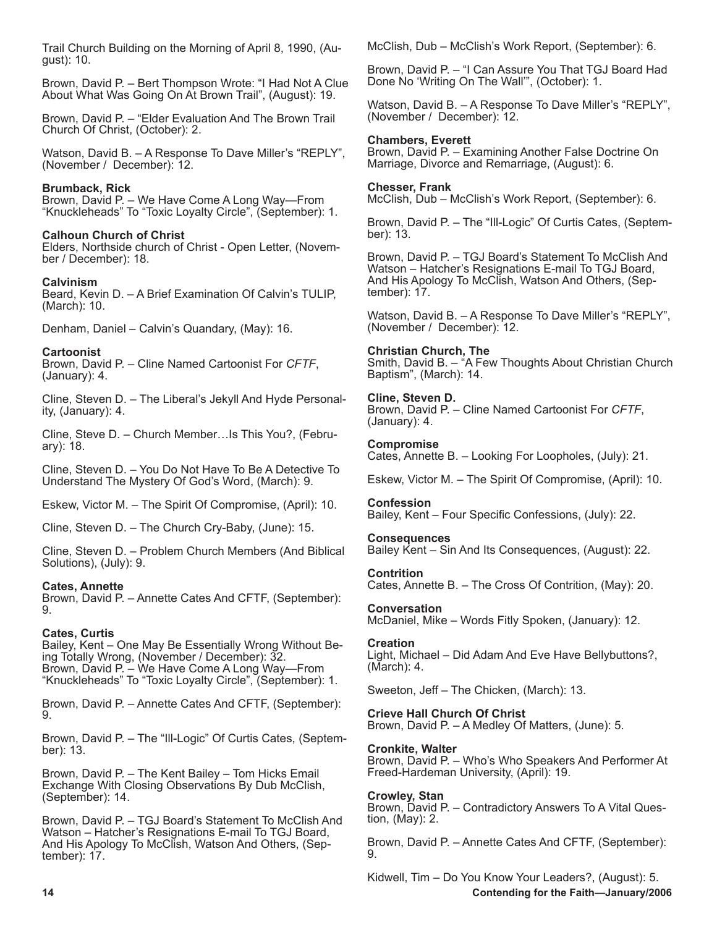Trail Church Building on the Morning of April 8, 1990, (August): 10.

Brown, David P. – Bert Thompson Wrote: "I Had Not A Clue About What Was Going On At Brown Trail", (August): 19.

Brown, David P. – "Elder Evaluation And The Brown Trail Church Of Christ, (October): 2.

Watson, David B. – A Response To Dave Miller's "REPLY", (November / December): 12.

## **Brumback, Rick**

Brown, David P. – We Have Come A Long Way—From "Knuckleheads" To "Toxic Loyalty Circle", (September): 1.

### **Calhoun Church of Christ**

Elders, Northside church of Christ - Open Letter, (November / December): 18.

### **Calvinism**

Beard, Kevin D. – A Brief Examination Of Calvin's TULIP, (March): 10.

Denham, Daniel – Calvin's Quandary, (May): 16.

## **Cartoonist**

Brown, David P. – Cline Named Cartoonist For *CFTF*, (January): 4.

Cline, Steven D. – The Liberal's Jekyll And Hyde Personality, (January): 4.

Cline, Steve D. – Church Member…Is This You?, (February): 18.

Cline, Steven D. – You Do Not Have To Be A Detective To Understand The Mystery Of God's Word, (March): 9.

Eskew, Victor M. – The Spirit Of Compromise, (April): 10.

Cline, Steven D. – The Church Cry-Baby, (June): 15.

Cline, Steven D. – Problem Church Members (And Biblical Solutions), (July): 9.

#### **Cates, Annette**

Brown, David P. – Annette Cates And CFTF, (September): 9.

## **Cates, Curtis**

Bailey, Kent – One May Be Essentially Wrong Without Being Totally Wrong, (November / December): 32. Brown, David P. – We Have Come A Long Way—From "Knuckleheads" To "Toxic Loyalty Circle", (September): 1.

Brown, David P. – Annette Cates And CFTF, (September):  $\Omega$ 

Brown, David P. – The "Ill-Logic" Of Curtis Cates, (September): 13.

Brown, David P. – The Kent Bailey – Tom Hicks Email Exchange With Closing Observations By Dub McClish, (September): 14.

Brown, David P. – TGJ Board's Statement To McClish And Watson – Hatcher's Resignations E-mail To TGJ Board, And His Apology To McClish, Watson And Others, (September): 17.

McClish, Dub – McClish's Work Report, (September): 6.

Brown, David P. – "I Can Assure You That TGJ Board Had Done No 'Writing On The Wall'", (October): 1.

Watson, David B. – A Response To Dave Miller's "REPLY", (November / December): 12.

### **Chambers, Everett**

Brown, David P. – Examining Another False Doctrine On Marriage, Divorce and Remarriage, (August): 6.

### **Chesser, Frank**

McClish, Dub – McClish's Work Report, (September): 6.

Brown, David P. – The "Ill-Logic" Of Curtis Cates, (September): 13.

Brown, David P. – TGJ Board's Statement To McClish And Watson – Hatcher's Resignations E-mail To TGJ Board, And His Apology To McClish, Watson And Others, (September): 17.

Watson, David B. – A Response To Dave Miller's "REPLY", (November / December): 12.

**Christian Church, The** Smith, David B. – "A Few Thoughts About Christian Church Baptism", (March): 14.

### **Cline, Steven D.**

Brown, David P. – Cline Named Cartoonist For *CFTF*, (January): 4.

#### **Compromise**

Cates, Annette B. – Looking For Loopholes, (July): 21.

Eskew, Victor M. – The Spirit Of Compromise, (April): 10.

#### **Confession**

Bailey, Kent – Four Specific Confessions, (July): 22.

## Bailey Kent – Sin And Its Consequences, (August): 22.

**Contrition**

**Consequences**

Cates, Annette B. – The Cross Of Contrition, (May): 20.

#### **Conversation**

McDaniel, Mike – Words Fitly Spoken, (January): 12.

## **Creation**

Light, Michael – Did Adam And Eve Have Bellybuttons?, (March): 4.

Sweeton, Jeff – The Chicken, (March): 13.

## **Crieve Hall Church Of Christ**

Brown, David P. – A Medley Of Matters, (June): 5.

#### **Cronkite, Walter**

Brown, David P. – Who's Who Speakers And Performer At Freed-Hardeman University, (April): 19.

#### **Crowley, Stan**

Brown, David P. – Contradictory Answers To A Vital Question, (May): 2.

Brown, David P. – Annette Cates And CFTF, (September): 9.

**14 Contending for the Faith—January/2006** Kidwell, Tim – Do You Know Your Leaders?, (August): 5.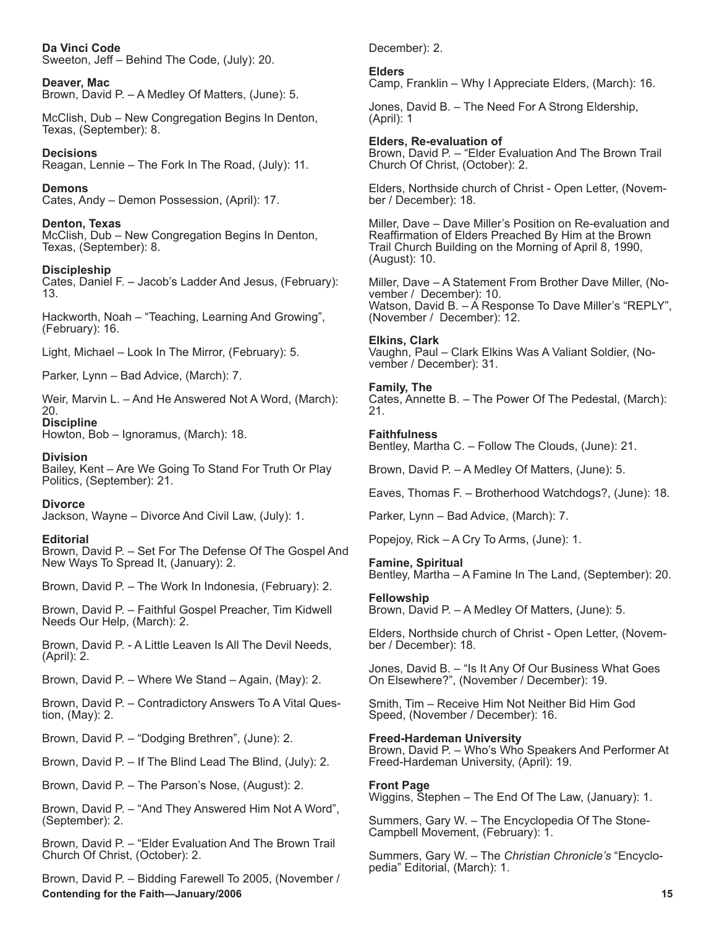#### **Da Vinci Code** Sweeton, Jeff – Behind The Code, (July): 20.

**Deaver, Mac** Brown, David P. – A Medley Of Matters, (June): 5.

McClish, Dub – New Congregation Begins In Denton, Texas, (September): 8.

**Decisions** Reagan, Lennie – The Fork In The Road, (July): 11.

**Demons** Cates, Andy – Demon Possession, (April): 17.

**Denton, Texas** McClish, Dub – New Congregation Begins In Denton, Texas, (September): 8.

**Discipleship** Cates, Daniel F. – Jacob's Ladder And Jesus, (February): 13.

Hackworth, Noah – "Teaching, Learning And Growing", (February): 16.

Light, Michael – Look In The Mirror, (February): 5.

Parker, Lynn – Bad Advice, (March): 7.

Weir, Marvin L. – And He Answered Not A Word, (March): 20.

**Discipline** Howton, Bob – Ignoramus, (March): 18.

**Division**

Bailey, Kent – Are We Going To Stand For Truth Or Play Politics, (September): 21.

**Divorce**

Jackson, Wayne – Divorce And Civil Law, (July): 1.

## **Editorial**

Brown, David P. – Set For The Defense Of The Gospel And New Ways To Spread It, (January): 2.

Brown, David P. – The Work In Indonesia, (February): 2.

Brown, David P. – Faithful Gospel Preacher, Tim Kidwell Needs Our Help, (March): 2.

Brown, David P. - A Little Leaven Is All The Devil Needs, (April): 2.

Brown, David P. – Where We Stand – Again, (May): 2.

Brown, David P. – Contradictory Answers To A Vital Ques- tion, (May): 2.

Brown, David P. – "Dodging Brethren", (June): 2.

Brown, David P. – If The Blind Lead The Blind, (July): 2.

Brown, David P. – The Parson's Nose, (August): 2.

Brown, David P. – "And They Answered Him Not A Word", (September): 2.

Brown, David P. – "Elder Evaluation And The Brown Trail Church Of Christ, (October): 2.

**Contending for the Faith—January/2006 15 Australian Content of the Content of the Faith—January/2006** 15 **15** Brown, David P. – Bidding Farewell To 2005, (November /

December): 2.

**Elders**

Camp, Franklin – Why I Appreciate Elders, (March): 16.

Jones, David B. – The Need For A Strong Eldership, (April): 1

**Elders, Re-evaluation of** Brown, David P. – "Elder Evaluation And The Brown Trail Church Of Christ, (October): 2.

Elders, Northside church of Christ - Open Letter, (November / December): 18.

Miller, Dave – Dave Miller's Position on Re-evaluation and Reaffirmation of Elders Preached By Him at the Brown Trail Church Building on the Morning of April 8, 1990, (August): 10.

Miller, Dave – A Statement From Brother Dave Miller, (November / December): 10. Watson, David B. – A Response To Dave Miller's "REPLY", (November / December): 12.

## **Elkins, Clark**

Vaughn, Paul – Clark Elkins Was A Valiant Soldier, (November / December): 31.

### **Family, The**

Cates, Annette B. – The Power Of The Pedestal, (March): 21.

### **Faithfulness**

Bentley, Martha C. – Follow The Clouds, (June): 21.

Brown, David P. – A Medley Of Matters, (June): 5.

Eaves, Thomas F. – Brotherhood Watchdogs?, (June): 18.

Parker, Lynn – Bad Advice, (March): 7.

Popejoy, Rick – A Cry To Arms, (June): 1.

## **Famine, Spiritual**

Bentley, Martha – A Famine In The Land, (September): 20.

## **Fellowship**

Brown, David P. – A Medley Of Matters, (June): 5.

Elders, Northside church of Christ - Open Letter, (November / December): 18.

Jones, David B. – "Is It Any Of Our Business What Goes On Elsewhere?", (November / December): 19.

Smith, Tim – Receive Him Not Neither Bid Him God Speed, (November / December): 16.

## **Freed-Hardeman University**

Brown, David P. – Who's Who Speakers And Performer At Freed-Hardeman University, (April): 19.

## **Front Page**

Wiggins, Stephen – The End Of The Law, (January): 1.

Summers, Gary W. – The Encyclopedia Of The Stone-Campbell Movement, (February): 1.

Summers, Gary W. – The *Christian Chronicle's* "Encyclopedia" Editorial, (March): 1.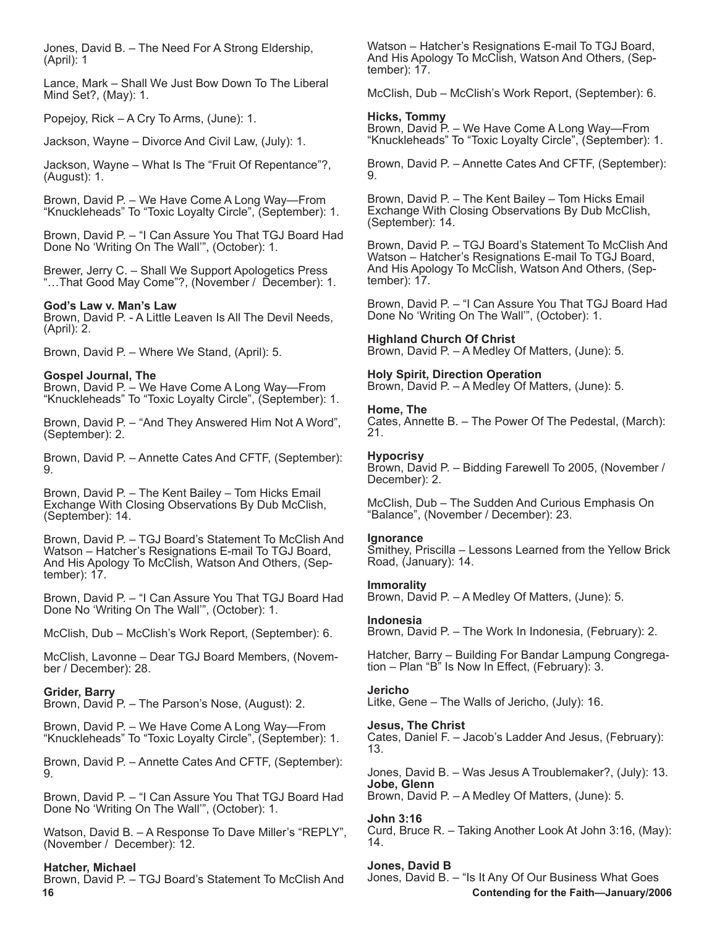Jones, David B. – The Need For A Strong Eldership, (April): 1

Lance, Mark – Shall We Just Bow Down To The Liberal Mind Set?, (May): 1.

Popejoy, Rick – A Cry To Arms, (June): 1.

Jackson, Wayne – Divorce And Civil Law, (July): 1.

Jackson, Wayne – What Is The "Fruit Of Repentance"?, (August): 1.

Brown, David P. – We Have Come A Long Way—From "Knuckleheads" To "Toxic Loyalty Circle", (September): 1.

Brown, David P. – "I Can Assure You That TGJ Board Had Done No 'Writing On The Wall'", (October): 1.

Brewer, Jerry C. – Shall We Support Apologetics Press "…That Good May Come"?, (November / December): 1.

## **God's Law v. Man's Law**

Brown, David P. - A Little Leaven Is All The Devil Needs, (April): 2.

Brown, David P. – Where We Stand, (April): 5.

## **Gospel Journal, The**

Brown, David P. – We Have Come A Long Way—From "Knuckleheads" To "Toxic Loyalty Circle", (September): 1.

Brown, David P. – "And They Answered Him Not A Word", (September): 2.

Brown, David P. – Annette Cates And CFTF, (September): 9.

Brown, David P. – The Kent Bailey – Tom Hicks Email Exchange With Closing Observations By Dub McClish, (September): 14.

Brown, David P. – TGJ Board's Statement To McClish And Watson – Hatcher's Resignations E-mail To TGJ Board, And His Apology To McClish, Watson And Others, (September): 17.

Brown, David P. – "I Can Assure You That TGJ Board Had Done No 'Writing On The Wall'", (October): 1.

McClish, Dub – McClish's Work Report, (September): 6.

McClish, Lavonne – Dear TGJ Board Members, (November / December): 28.

## **Grider, Barry**

Brown, David P. – The Parson's Nose, (August): 2.

Brown, David P. – We Have Come A Long Way—From "Knuckleheads" To "Toxic Loyalty Circle", (September): 1.

Brown, David P. – Annette Cates And CFTF, (September): 9.

Brown, David P. – "I Can Assure You That TGJ Board Had Done No 'Writing On The Wall'", (October): 1.

Watson, David B. – A Response To Dave Miller's "REPLY", (November / December): 12.

#### **Hatcher, Michael**

Brown, David P. – TGJ Board's Statement To McClish And

Watson – Hatcher's Resignations E-mail To TGJ Board, And His Apology To McClish, Watson And Others, (September): 17.

McClish, Dub – McClish's Work Report, (September): 6.

### **Hicks, Tommy**

Brown, David P. – We Have Come A Long Way—From "Knuckleheads" To "Toxic Loyalty Circle", (September): 1.

Brown, David P. – Annette Cates And CFTF, (September): 9.

Brown, David P. – The Kent Bailey – Tom Hicks Email Exchange With Closing Observations By Dub McClish, (September): 14.

Brown, David P. – TGJ Board's Statement To McClish And Watson – Hatcher's Resignations E-mail To TGJ Board, And His Apology To McClish, Watson And Others, (September): 17.

Brown, David P. – "I Can Assure You That TGJ Board Had Done No 'Writing On The Wall'", (October): 1.

### **Highland Church Of Christ**

Brown, David P. – A Medley Of Matters, (June): 5.

## **Holy Spirit, Direction Operation**

Brown, David P. – A Medley Of Matters, (June): 5.

### **Home, The**

Cates, Annette B. – The Power Of The Pedestal, (March): 21.

#### **Hypocrisy**

Brown, David P. – Bidding Farewell To 2005, (November / December): 2.

McClish, Dub – The Sudden And Curious Emphasis On "Balance", (November / December): 23.

#### **Ignorance**

Smithey, Priscilla – Lessons Learned from the Yellow Brick Road, (January): 14.

## **Immorality**

Brown, David P. – A Medley Of Matters, (June): 5.

## **Indonesia**

Brown, David P. – The Work In Indonesia, (February): 2.

Hatcher, Barry – Building For Bandar Lampung Congregation – Plan "B" Is Now In Effect, (February): 3.

#### **Jericho**

Litke, Gene – The Walls of Jericho, (July): 16.

#### **Jesus, The Christ**

Cates, Daniel F. – Jacob's Ladder And Jesus, (February): 13.

Jones, David B. – Was Jesus A Troublemaker?, (July): 13. **Jobe, Glenn** Brown, David P. – A Medley Of Matters, (June): 5.

## **John 3:16**

Curd, Bruce R. – Taking Another Look At John 3:16, (May): 14.

## **Jones, David B**

**16 Contending for the Faith—January/2006** Jones, David B. – "Is It Any Of Our Business What Goes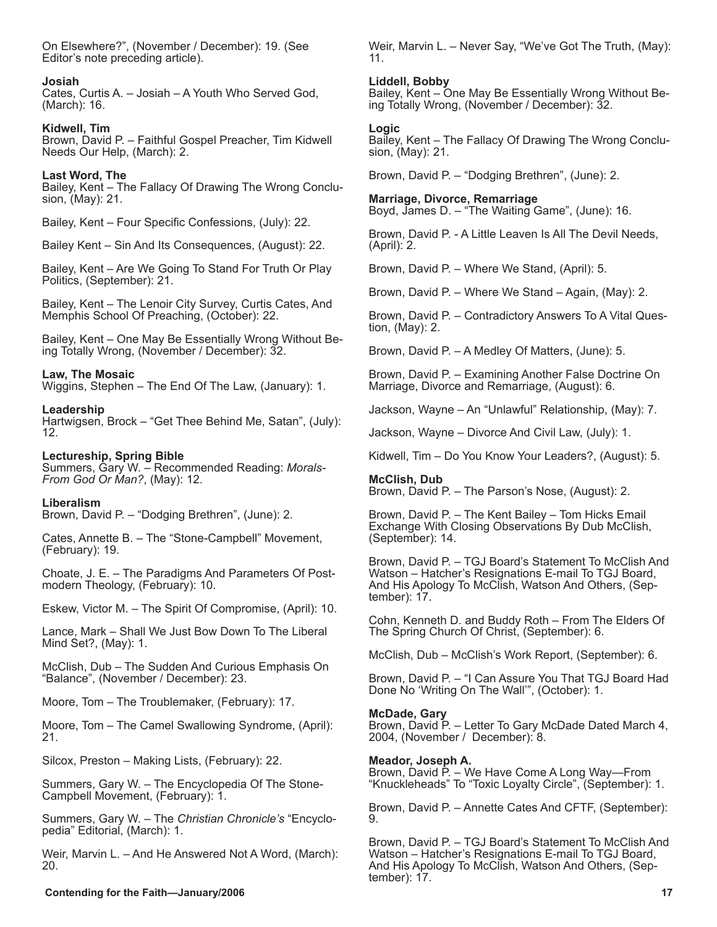On Elsewhere?", (November / December): 19. (See Editor's note preceding article).

#### **Josiah**

Cates, Curtis A. – Josiah – A Youth Who Served God, (March): 16.

#### **Kidwell, Tim**

Brown, David P. – Faithful Gospel Preacher, Tim Kidwell Needs Our Help, (March): 2.

#### **Last Word, The**

Bailey, Kent – The Fallacy Of Drawing The Wrong Conclusion, (May): 21.

Bailey, Kent – Four Specific Confessions, (July): 22.

Bailey Kent – Sin And Its Consequences, (August): 22.

Bailey, Kent – Are We Going To Stand For Truth Or Play Politics, (September): 21.

Bailey, Kent – The Lenoir City Survey, Curtis Cates, And Memphis School Of Preaching, (October): 22.

Bailey, Kent – One May Be Essentially Wrong Without Being Totally Wrong, (November / December): 32.

#### **Law, The Mosaic**

Wiggins, Stephen – The End Of The Law, (January): 1.

#### **Leadership**

Hartwigsen, Brock – "Get Thee Behind Me, Satan", (July): 12.

#### **Lectureship, Spring Bible**

Summers, Gary W. – Recommended Reading: *Morals-From God Or Man?*, (May): 12.

#### **Liberalism**

Brown, David P. – "Dodging Brethren", (June): 2.

Cates, Annette B. – The "Stone-Campbell" Movement, (February): 19.

Choate, J. E. – The Paradigms And Parameters Of Post- modern Theology, (February): 10.

Eskew, Victor M. – The Spirit Of Compromise, (April): 10.

Lance, Mark – Shall We Just Bow Down To The Liberal Mind Set?, (May): 1.

McClish, Dub – The Sudden And Curious Emphasis On "Balance", (November / December): 23.

Moore, Tom – The Troublemaker, (February): 17.

Moore, Tom – The Camel Swallowing Syndrome, (April): 21.

Silcox, Preston – Making Lists, (February): 22.

Summers, Gary W. – The Encyclopedia Of The Stone-Campbell Movement, (February): 1.

Summers, Gary W. – The *Christian Chronicle's* "Encyclo- pedia" Editorial, (March): 1.

Weir, Marvin L. – And He Answered Not A Word, (March): 20.

Weir, Marvin L. – Never Say, "We've Got The Truth, (May): 11.

#### **Liddell, Bobby**

Bailey, Kent – One May Be Essentially Wrong Without Being Totally Wrong, (November / December): 32.

#### **Logic**

Bailey, Kent – The Fallacy Of Drawing The Wrong Conclusion, (May): 21.

Brown, David P. – "Dodging Brethren", (June): 2.

**Marriage, Divorce, Remarriage** Boyd, James D. – "The Waiting Game", (June): 16.

Brown, David P. - A Little Leaven Is All The Devil Needs, (April): 2.

Brown, David P. – Where We Stand, (April): 5.

Brown, David P. – Where We Stand – Again, (May): 2.

Brown, David P. – Contradictory Answers To A Vital Ques- tion, (May): 2.

Brown, David P. – A Medley Of Matters, (June): 5.

Brown, David P. – Examining Another False Doctrine On Marriage, Divorce and Remarriage, (August): 6.

Jackson, Wayne – An "Unlawful" Relationship, (May): 7.

Jackson, Wayne – Divorce And Civil Law, (July): 1.

Kidwell, Tim – Do You Know Your Leaders?, (August): 5.

**McClish, Dub** Brown, David P. – The Parson's Nose, (August): 2.

Brown, David P. – The Kent Bailey – Tom Hicks Email Exchange With Closing Observations By Dub McClish, (September): 14.

Brown, David P. – TGJ Board's Statement To McClish And Watson – Hatcher's Resignations E-mail To TGJ Board, And His Apology To McClish, Watson And Others, (Sep- tember): 17.

Cohn, Kenneth D. and Buddy Roth – From The Elders Of The Spring Church Of Christ, (September): 6.

McClish, Dub – McClish's Work Report, (September): 6.

Brown, David P. – "I Can Assure You That TGJ Board Had Done No 'Writing On The Wall'", (October): 1.

#### **McDade, Gary**

Brown, David P. – Letter To Gary McDade Dated March 4, 2004, (November / December): 8.

#### **Meador, Joseph A.**

Brown, David P. – We Have Come A Long Way—From "Knuckleheads" To "Toxic Loyalty Circle", (September): 1.

Brown, David P. – Annette Cates And CFTF, (September): 9.

Brown, David P. – TGJ Board's Statement To McClish And Watson – Hatcher's Resignations E-mail To TGJ Board, And His Apology To McClish, Watson And Others, (September): 17.

#### **Contending for the Faith—January/2006** 17 **17**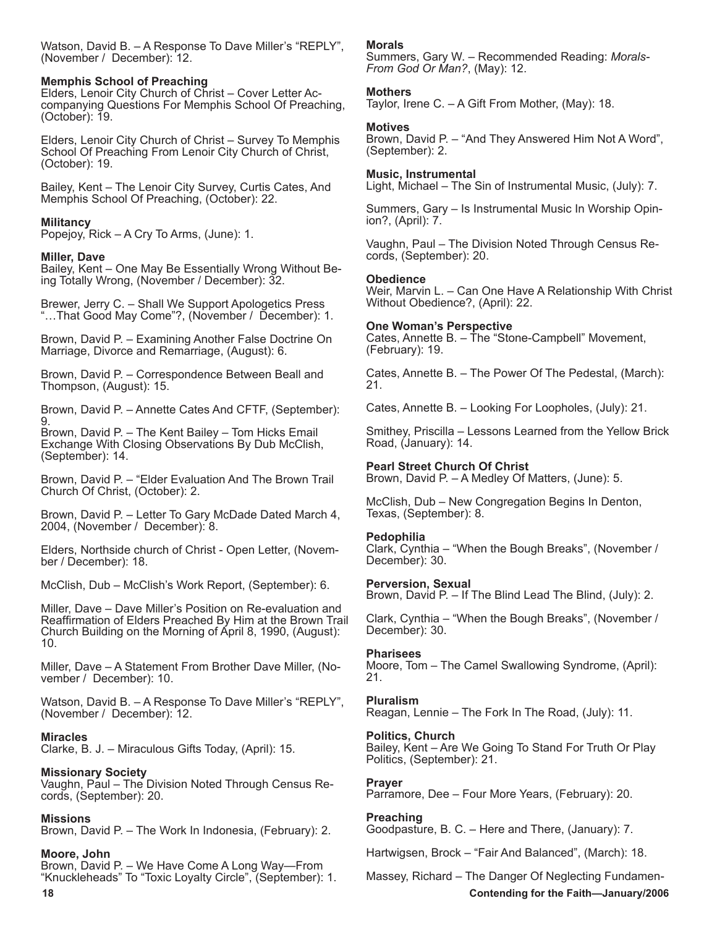Watson, David B. – A Response To Dave Miller's "REPLY", (November / December): 12.

#### **Memphis School of Preaching**

Elders, Lenoir City Church of Christ - Cover Letter Accompanying Questions For Memphis School Of Preaching, (October): 19.

Elders, Lenoir City Church of Christ – Survey To Memphis School Of Preaching From Lenoir City Church of Christ, (October): 19.

Bailey, Kent – The Lenoir City Survey, Curtis Cates, And Memphis School Of Preaching, (October): 22.

#### **Militancy**

Popejoy, Rick – A Cry To Arms, (June): 1.

#### **Miller, Dave**

Bailey, Kent – One May Be Essentially Wrong Without Being Totally Wrong, (November / December): 32.

Brewer, Jerry C. – Shall We Support Apologetics Press "…That Good May Come"?, (November / December): 1.

Brown, David P. – Examining Another False Doctrine On Marriage, Divorce and Remarriage, (August): 6.

Brown, David P. – Correspondence Between Beall and Thompson, (August): 15.

Brown, David P. – Annette Cates And CFTF, (September): 9.

Brown, David P. – The Kent Bailey – Tom Hicks Email Exchange With Closing Observations By Dub McClish, (September): 14.

Brown, David P. – "Elder Evaluation And The Brown Trail Church Of Christ, (October): 2.

Brown, David P. – Letter To Gary McDade Dated March 4, 2004, (November / December): 8.

Elders, Northside church of Christ - Open Letter, (Novem- ber / December): 18.

McClish, Dub – McClish's Work Report, (September): 6.

Miller, Dave – Dave Miller's Position on Re-evaluation and Reaffirmation of Elders Preached By Him at the Brown Trail Church Building on the Morning of April 8, 1990, (August): 10.

Miller, Dave – A Statement From Brother Dave Miller, (November / December): 10.

Watson, David B. – A Response To Dave Miller's "REPLY", (November / December): 12.

#### **Miracles**

Clarke, B. J. – Miraculous Gifts Today, (April): 15.

#### **Missionary Society**

Vaughn, Paul – The Division Noted Through Census Records, (September): 20.

#### **Missions**

Brown, David P. – The Work In Indonesia, (February): 2.

#### **Moore, John**

Brown, David P. – We Have Come A Long Way—From "Knuckleheads" To "Toxic Loyalty Circle", (September): 1.

#### **Morals**

Summers, Gary W. – Recommended Reading: *Morals-From God Or Man?*, (May): 12.

### **Mothers**

Taylor, Irene C. – A Gift From Mother, (May): 18.

#### **Motives**

Brown, David P. – "And They Answered Him Not A Word", (September): 2.

#### **Music, Instrumental**

Light, Michael – The Sin of Instrumental Music, (July): 7.

Summers, Gary – Is Instrumental Music In Worship Opinion?, (April): 7.

Vaughn, Paul – The Division Noted Through Census Records, (September): 20.

#### **Obedience**

Weir, Marvin L. – Can One Have A Relationship With Christ Without Obedience?, (April): 22.

#### **One Woman's Perspective**

Cates, Annette B. – The "Stone-Campbell" Movement, (February): 19.

Cates, Annette B. – The Power Of The Pedestal, (March): 21.

Cates, Annette B. – Looking For Loopholes, (July): 21.

Smithey, Priscilla – Lessons Learned from the Yellow Brick Road, (January): 14.

#### **Pearl Street Church Of Christ**

Brown, David P. – A Medley Of Matters, (June): 5.

McClish, Dub – New Congregation Begins In Denton, Texas, (September): 8.

#### **Pedophilia**

Clark, Cynthia – "When the Bough Breaks", (November / December): 30.

#### **Perversion, Sexual**

Brown, David P. – If The Blind Lead The Blind, (July): 2.

Clark, Cynthia – "When the Bough Breaks", (November / December): 30.

#### **Pharisees**

Moore, Tom – The Camel Swallowing Syndrome, (April): 21.

#### **Pluralism**

Reagan, Lennie – The Fork In The Road, (July): 11.

#### **Politics, Church**

Bailey, Kent – Are We Going To Stand For Truth Or Play Politics, (September): 21.

#### **Prayer**

Parramore, Dee – Four More Years, (February): 20.

#### **Preaching**

Goodpasture, B. C. – Here and There, (January): 7.

Hartwigsen, Brock – "Fair And Balanced", (March): 18.

## **18 Contending for the Faith—January/2006** Massey, Richard – The Danger Of Neglecting Fundamen-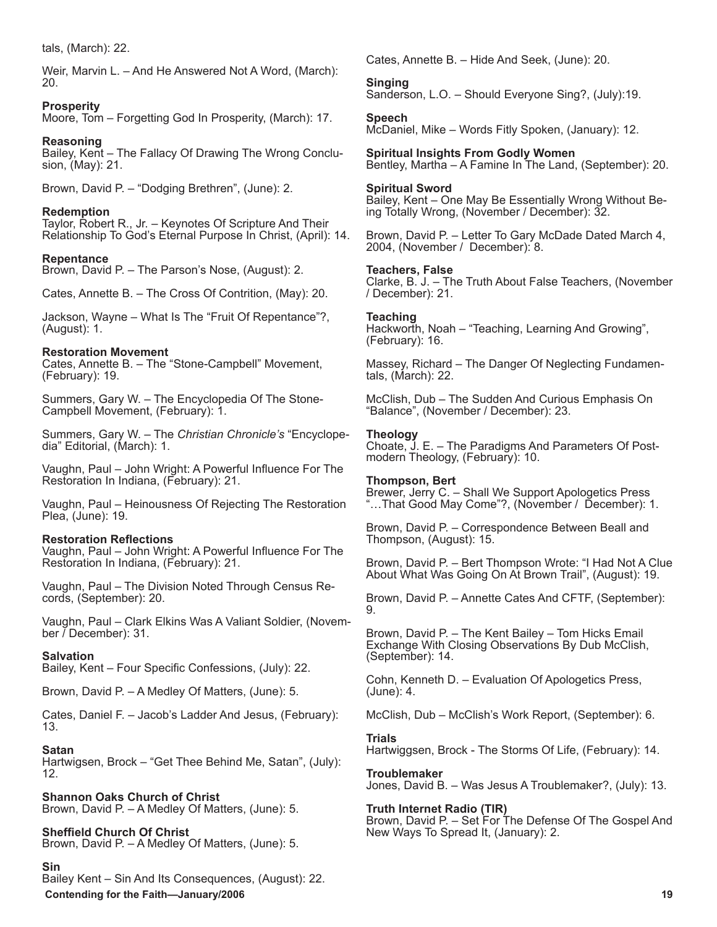tals, (March): 22.

Weir, Marvin L. – And He Answered Not A Word, (March): 20.

**Prosperity**

Moore, Tom – Forgetting God In Prosperity, (March): 17.

**Reasoning** Bailey, Kent – The Fallacy Of Drawing The Wrong Conclusion, (May): 21.

Brown, David P. – "Dodging Brethren", (June): 2.

**Redemption** Taylor, Robert R., Jr. – Keynotes Of Scripture And Their Relationship To God's Eternal Purpose In Christ, (April): 14.

**Repentance** Brown, David P. – The Parson's Nose, (August): 2.

Cates, Annette B. – The Cross Of Contrition, (May): 20.

Jackson, Wayne – What Is The "Fruit Of Repentance"?, (August): 1.

### **Restoration Movement**

Cates, Annette B. – The "Stone-Campbell" Movement, (February): 19.

Summers, Gary W. – The Encyclopedia Of The Stone-Campbell Movement, (February): 1.

Summers, Gary W. – The *Christian Chronicle's* "Encyclopedia" Editorial, (March): 1.

Vaughn, Paul – John Wright: A Powerful Influence For The Restoration In Indiana, (February): 21.

Vaughn, Paul – Heinousness Of Rejecting The Restoration Plea, (June): 19.

#### **Restoration Reflections**

Vaughn, Paul – John Wright: A Powerful Influence For The Restoration In Indiana, (February): 21.

Vaughn, Paul – The Division Noted Through Census Re- cords, (September): 20.

Vaughn, Paul – Clark Elkins Was A Valiant Soldier, (Novem- ber / December): 31.

## **Salvation**

Bailey, Kent – Four Specific Confessions, (July): 22.

Brown, David P. – A Medley Of Matters, (June): 5.

Cates, Daniel F. – Jacob's Ladder And Jesus, (February): 13.

#### **Satan**

Hartwigsen, Brock – "Get Thee Behind Me, Satan", (July): 12.

**Shannon Oaks Church of Christ** Brown, David P. – A Medley Of Matters, (June): 5.

**Sheffield Church Of Christ** Brown, David P. – A Medley Of Matters, (June): 5.

#### **Sin**

 **Contending for the Faith—January/2006 19** Bailey Kent – Sin And Its Consequences, (August): 22.

Cates, Annette B. – Hide And Seek, (June): 20.

**Singing** Sanderson, L.O. – Should Everyone Sing?, (July):19.

**Speech** McDaniel, Mike – Words Fitly Spoken, (January): 12.

**Spiritual Insights From Godly Women** Bentley, Martha – A Famine In The Land, (September): 20.

#### **Spiritual Sword**

Bailey, Kent – One May Be Essentially Wrong Without Being Totally Wrong, (November / December): 32.

Brown, David P. – Letter To Gary McDade Dated March 4, 2004, (November / December): 8.

#### **Teachers, False**

Clarke, B. J. – The Truth About False Teachers, (November / December): 21.

### **Teaching**

Hackworth, Noah – "Teaching, Learning And Growing", (February): 16.

Massey, Richard – The Danger Of Neglecting Fundamentals, (March): 22.

McClish, Dub – The Sudden And Curious Emphasis On "Balance", (November / December): 23.

### **Theology**

Choate, J. E. – The Paradigms And Parameters Of Postmodern Theology, (February): 10.

#### **Thompson, Bert**

Brewer, Jerry C. – Shall We Support Apologetics Press "…That Good May Come"?, (November / December): 1.

Brown, David P. – Correspondence Between Beall and Thompson, (August): 15.

Brown, David P. – Bert Thompson Wrote: "I Had Not A Clue About What Was Going On At Brown Trail", (August): 19.

Brown, David P. – Annette Cates And CFTF, (September): 9.

Brown, David P. – The Kent Bailey – Tom Hicks Email Exchange With Closing Observations By Dub McClish, (September): 14.

Cohn, Kenneth D. – Evaluation Of Apologetics Press, (June): 4.

McClish, Dub – McClish's Work Report, (September): 6.

#### **Trials**

Hartwiggsen, Brock - The Storms Of Life, (February): 14.

#### **Troublemaker** Jones, David B. – Was Jesus A Troublemaker?, (July): 13.

**Truth Internet Radio (TIR)**

Brown, David P. – Set For The Defense Of The Gospel And New Ways To Spread It, (January): 2.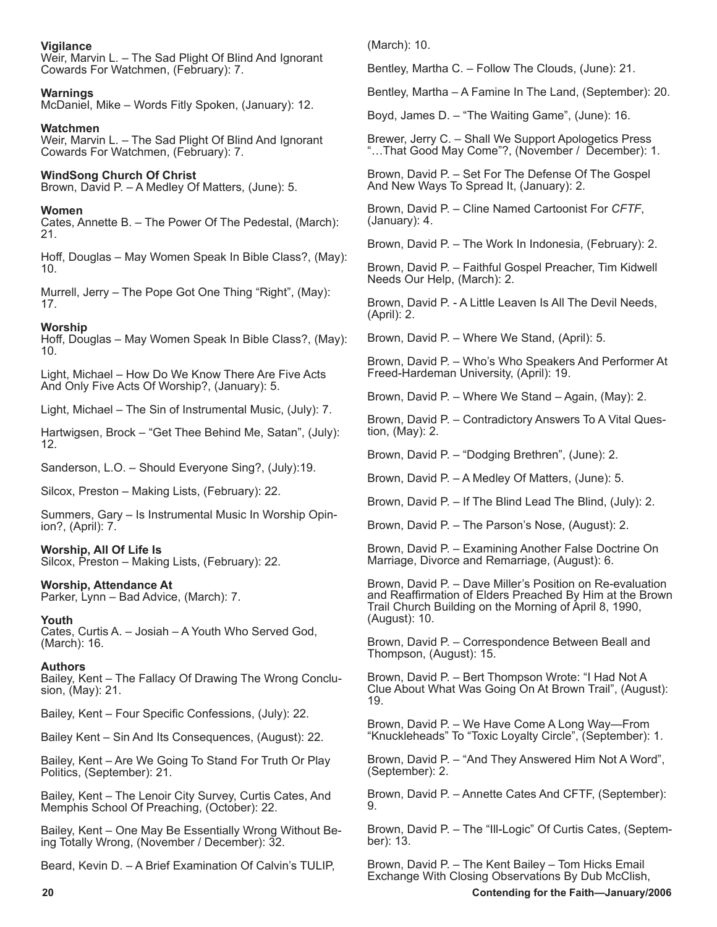### **Vigilance**

Weir, Marvin L. – The Sad Plight Of Blind And Ignorant Cowards For Watchmen, (February): 7.

## **Warnings**

McDaniel, Mike – Words Fitly Spoken, (January): 12.

**Watchmen** Weir, Marvin L. – The Sad Plight Of Blind And Ignorant

Cowards For Watchmen, (February): 7.

## **WindSong Church Of Christ**

Brown, David P. – A Medley Of Matters, (June): 5.

## **Women**

Cates, Annette B. – The Power Of The Pedestal, (March): 21.

Hoff, Douglas – May Women Speak In Bible Class?, (May): 10.

Murrell, Jerry – The Pope Got One Thing "Right", (May): 17.

## **Worship**

Hoff, Douglas – May Women Speak In Bible Class?, (May): 10.

Light, Michael – How Do We Know There Are Five Acts And Only Five Acts Of Worship?, (January): 5.

Light, Michael – The Sin of Instrumental Music, (July): 7.

Hartwigsen, Brock – "Get Thee Behind Me, Satan", (July): 12.

Sanderson, L.O. – Should Everyone Sing?, (July):19.

Silcox, Preston – Making Lists, (February): 22.

Summers, Gary – Is Instrumental Music In Worship Opinion?, (April): 7.

## **Worship, All Of Life Is**

Silcox, Preston – Making Lists, (February): 22.

## **Worship, Attendance At**

Parker, Lynn – Bad Advice, (March): 7.

## **Youth**

Cates, Curtis A. – Josiah – A Youth Who Served God, (March): 16.

## **Authors**

Bailey, Kent – The Fallacy Of Drawing The Wrong Conclusion, (May): 21.

Bailey, Kent – Four Specific Confessions, (July): 22.

Bailey Kent – Sin And Its Consequences, (August): 22.

Bailey, Kent – Are We Going To Stand For Truth Or Play Politics, (September): 21.

Bailey, Kent – The Lenoir City Survey, Curtis Cates, And Memphis School Of Preaching, (October): 22.

Bailey, Kent – One May Be Essentially Wrong Without Be- ing Totally Wrong, (November / December): 32.

Beard, Kevin D. – A Brief Examination Of Calvin's TULIP,

(March): 10.

Bentley, Martha C. – Follow The Clouds, (June): 21.

Bentley, Martha – A Famine In The Land, (September): 20.

Boyd, James D. – "The Waiting Game", (June): 16.

Brewer, Jerry C. – Shall We Support Apologetics Press "…That Good May Come"?, (November / December): 1.

Brown, David P. – Set For The Defense Of The Gospel And New Ways To Spread It, (January): 2.

Brown, David P. – Cline Named Cartoonist For *CFTF*, (January): 4.

Brown, David P. – The Work In Indonesia, (February): 2.

Brown, David P. – Faithful Gospel Preacher, Tim Kidwell Needs Our Help, (March): 2.

Brown, David P. - A Little Leaven Is All The Devil Needs, (April): 2.

Brown, David P. – Where We Stand, (April): 5.

Brown, David P. – Who's Who Speakers And Performer At Freed-Hardeman University, (April): 19.

Brown, David P. – Where We Stand – Again, (May): 2.

Brown, David P. – Contradictory Answers To A Vital Question, (May): 2.

Brown, David P. – "Dodging Brethren", (June): 2.

Brown, David P. – A Medley Of Matters, (June): 5.

Brown, David P. – If The Blind Lead The Blind, (July): 2.

Brown, David P. – The Parson's Nose, (August): 2.

Brown, David P. – Examining Another False Doctrine On Marriage, Divorce and Remarriage, (August): 6.

Brown, David P. – Dave Miller's Position on Re-evaluation and Reaffirmation of Elders Preached By Him at the Brown Trail Church Building on the Morning of April 8, 1990, (August): 10.

Brown, David P. – Correspondence Between Beall and Thompson, (August): 15.

Brown, David P. – Bert Thompson Wrote: "I Had Not A Clue About What Was Going On At Brown Trail", (August): 19.

Brown, David P. – We Have Come A Long Way—From "Knuckleheads" To "Toxic Loyalty Circle", (September): 1.

Brown, David P. – "And They Answered Him Not A Word", (September): 2.

Brown, David P. – Annette Cates And CFTF, (September): 9.

Brown, David P. – The "Ill-Logic" Of Curtis Cates, (Septem- ber): 13.

Brown, David P. – The Kent Bailey – Tom Hicks Email Exchange With Closing Observations By Dub McClish,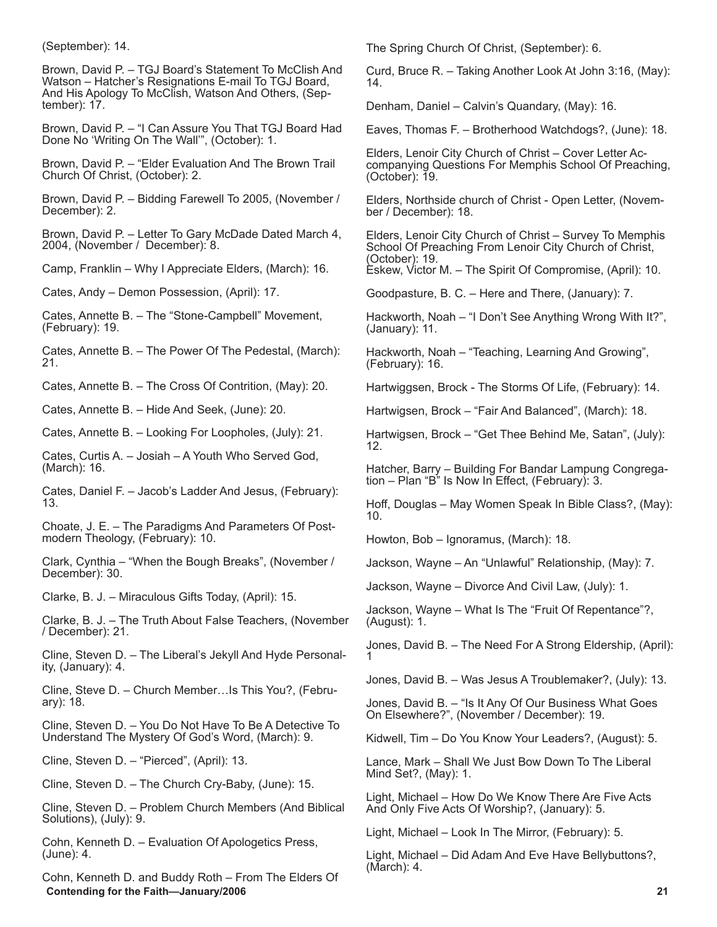(September): 14.

Brown, David P. – TGJ Board's Statement To McClish And Watson – Hatcher's Resignations E-mail To TGJ Board, And His Apology To McClish, Watson And Others, (September): 17.

Brown, David P. – "I Can Assure You That TGJ Board Had Done No 'Writing On The Wall'", (October): 1.

Brown, David P. – "Elder Evaluation And The Brown Trail Church Of Christ, (October): 2.

Brown, David P. – Bidding Farewell To 2005, (November / December): 2.

Brown, David P. – Letter To Gary McDade Dated March 4, 2004, (November / December): 8.

Camp, Franklin – Why I Appreciate Elders, (March): 16.

Cates, Andy – Demon Possession, (April): 17.

Cates, Annette B. – The "Stone-Campbell" Movement, (February): 19.

Cates, Annette B. – The Power Of The Pedestal, (March): 21.

Cates, Annette B. – The Cross Of Contrition, (May): 20.

Cates, Annette B. – Hide And Seek, (June): 20.

Cates, Annette B. – Looking For Loopholes, (July): 21.

Cates, Curtis A. – Josiah – A Youth Who Served God, (March): 16.

Cates, Daniel F. – Jacob's Ladder And Jesus, (February): 13.

Choate, J. E. – The Paradigms And Parameters Of Postmodern Theology, (February): 10.

Clark, Cynthia – "When the Bough Breaks", (November / December): 30.

Clarke, B. J. – Miraculous Gifts Today, (April): 15.

Clarke, B. J. – The Truth About False Teachers, (November / December): 21.

Cline, Steven D. – The Liberal's Jekyll And Hyde Personality, (January): 4.

Cline, Steve D. – Church Member…Is This You?, (February): 18.

Cline, Steven D. – You Do Not Have To Be A Detective To Understand The Mystery Of God's Word, (March): 9.

Cline, Steven D. – "Pierced", (April): 13.

Cline, Steven D. – The Church Cry-Baby, (June): 15.

Cline, Steven D. – Problem Church Members (And Biblical Solutions), (July): 9.

Cohn, Kenneth D. – Evaluation Of Apologetics Press, (June): 4.

 **Contending for the Faith—January/2006 21** Cohn, Kenneth D. and Buddy Roth – From The Elders Of

The Spring Church Of Christ, (September): 6.

Curd, Bruce R. – Taking Another Look At John 3:16, (May): 14.

Denham, Daniel – Calvin's Quandary, (May): 16.

Eaves, Thomas F. – Brotherhood Watchdogs?, (June): 18.

Elders, Lenoir City Church of Christ – Cover Letter Accompanying Questions For Memphis School Of Preaching, (October): 19.

Elders, Northside church of Christ - Open Letter, (November / December): 18.

Elders, Lenoir City Church of Christ – Survey To Memphis School Of Preaching From Lenoir City Church of Christ, (October): 19.

Eskew, Victor M. – The Spirit Of Compromise, (April): 10.

Goodpasture, B. C. – Here and There, (January): 7.

Hackworth, Noah – "I Don't See Anything Wrong With It?", (January): 11.

Hackworth, Noah – "Teaching, Learning And Growing", (February): 16.

Hartwiggsen, Brock - The Storms Of Life, (February): 14.

Hartwigsen, Brock – "Fair And Balanced", (March): 18.

Hartwigsen, Brock – "Get Thee Behind Me, Satan", (July): 12.

Hatcher, Barry – Building For Bandar Lampung Congregation – Plan "B" Is Now In Effect, (February): 3.

Hoff, Douglas – May Women Speak In Bible Class?, (May): 10.

Howton, Bob – Ignoramus, (March): 18.

Jackson, Wayne – An "Unlawful" Relationship, (May): 7.

Jackson, Wayne – Divorce And Civil Law, (July): 1.

Jackson, Wayne – What Is The "Fruit Of Repentance"?, (August): 1.

Jones, David B. – The Need For A Strong Eldership, (April): 1

Jones, David B. – Was Jesus A Troublemaker?, (July): 13.

Jones, David B. – "Is It Any Of Our Business What Goes On Elsewhere?", (November / December): 19.

Kidwell, Tim – Do You Know Your Leaders?, (August): 5.

Lance, Mark – Shall We Just Bow Down To The Liberal Mind Set?, (May): 1.

Light, Michael – How Do We Know There Are Five Acts And Only Five Acts Of Worship?, (January): 5.

Light, Michael – Look In The Mirror, (February): 5.

Light, Michael – Did Adam And Eve Have Bellybuttons?, (March): 4.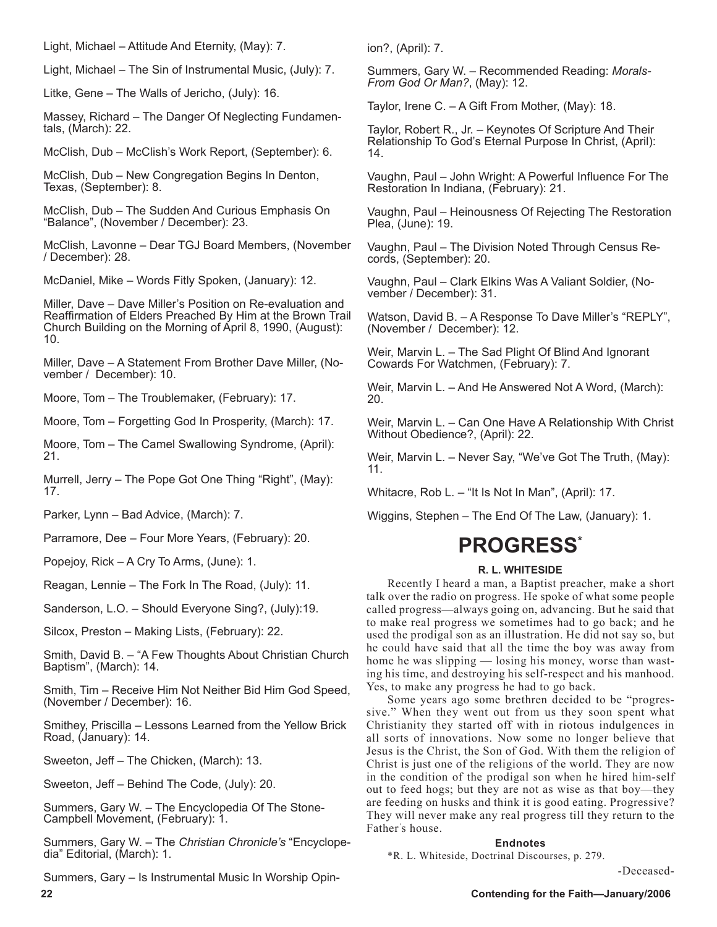Light, Michael – Attitude And Eternity, (May): 7.

Light, Michael – The Sin of Instrumental Music, (July): 7.

Litke, Gene – The Walls of Jericho, (July): 16.

Massey, Richard – The Danger Of Neglecting Fundamentals, (March): 22.

McClish, Dub – McClish's Work Report, (September): 6.

McClish, Dub – New Congregation Begins In Denton, Texas, (September): 8.

McClish, Dub – The Sudden And Curious Emphasis On "Balance", (November / December): 23.

McClish, Lavonne – Dear TGJ Board Members, (November / December): 28.

McDaniel, Mike – Words Fitly Spoken, (January): 12.

Miller, Dave – Dave Miller's Position on Re-evaluation and Reaffirmation of Elders Preached By Him at the Brown Trail Church Building on the Morning of April 8, 1990, (August): 10.

Miller, Dave – A Statement From Brother Dave Miller, (November / December): 10.

Moore, Tom – The Troublemaker, (February): 17.

Moore, Tom – Forgetting God In Prosperity, (March): 17.

Moore, Tom – The Camel Swallowing Syndrome, (April): 21.

Murrell, Jerry – The Pope Got One Thing "Right", (May): 17.

Parker, Lynn – Bad Advice, (March): 7.

Parramore, Dee – Four More Years, (February): 20.

Popejoy, Rick – A Cry To Arms, (June): 1.

Reagan, Lennie – The Fork In The Road, (July): 11.

Sanderson, L.O. – Should Everyone Sing?, (July):19.

Silcox, Preston – Making Lists, (February): 22.

Smith, David B. – "A Few Thoughts About Christian Church Baptism", (March): 14.

Smith, Tim – Receive Him Not Neither Bid Him God Speed, (November / December): 16.

Smithey, Priscilla – Lessons Learned from the Yellow Brick Road, (January): 14.

Sweeton, Jeff – The Chicken, (March): 13.

Sweeton, Jeff – Behind The Code, (July): 20.

Summers, Gary W. – The Encyclopedia Of The Stone-Campbell Movement, (February): 1.

Summers, Gary W. – The *Christian Chronicle's* "Encyclopedia" Editorial, (March): 1.

Summers, Gary – Is Instrumental Music In Worship Opin-

ion?, (April): 7.

Summers, Gary W. – Recommended Reading: *Morals-From God Or Man?*, (May): 12.

Taylor, Irene C. – A Gift From Mother, (May): 18.

Taylor, Robert R., Jr. – Keynotes Of Scripture And Their Relationship To God's Eternal Purpose In Christ, (April): 14.

Vaughn, Paul – John Wright: A Powerful Influence For The Restoration In Indiana, (February): 21.

Vaughn, Paul – Heinousness Of Rejecting The Restoration Plea, (June): 19.

Vaughn, Paul – The Division Noted Through Census Records, (September): 20.

Vaughn, Paul – Clark Elkins Was A Valiant Soldier, (November / December): 31.

Watson, David B. – A Response To Dave Miller's "REPLY", (November / December): 12.

Weir, Marvin L. – The Sad Plight Of Blind And Ignorant Cowards For Watchmen, (February): 7.

Weir, Marvin L. – And He Answered Not A Word, (March): 20.

Weir, Marvin L. – Can One Have A Relationship With Christ Without Obedience?, (April): 22.

Weir, Marvin L. – Never Say, "We've Got The Truth, (May): 11.

Whitacre, Rob L. – "It Is Not In Man", (April): 17.

Wiggins, Stephen – The End Of The Law, (January): 1.

## **PROGRESS\***

#### **R. L. WHITESIDE**

Recently I heard a man, a Baptist preacher, make a short talk over the radio on progress. He spoke of what some people called progress—always going on, advancing. But he said that to make real progress we sometimes had to go back; and he used the prodigal son as an illustration. He did not say so, but he could have said that all the time the boy was away from home he was slipping — losing his money, worse than wasting his time, and destroying his self-respect and his manhood. Yes, to make any progress he had to go back.

Some years ago some brethren decided to be "progressive." When they went out from us they soon spent what Christianity they started off with in riotous indulgences in all sorts of innovations. Now some no longer believe that Jesus is the Christ, the Son of God. With them the religion of Christ is just one of the religions of the world. They are now in the condition of the prodigal son when he hired him-self out to feed hogs; but they are not as wise as that boy—they are feeding on husks and think it is good eating. Progressive? They will never make any real progress till they return to the Father' s house.

#### **Endnotes**

\*R. L. Whiteside, Doctrinal Discourses, p. 279.

-Deceased-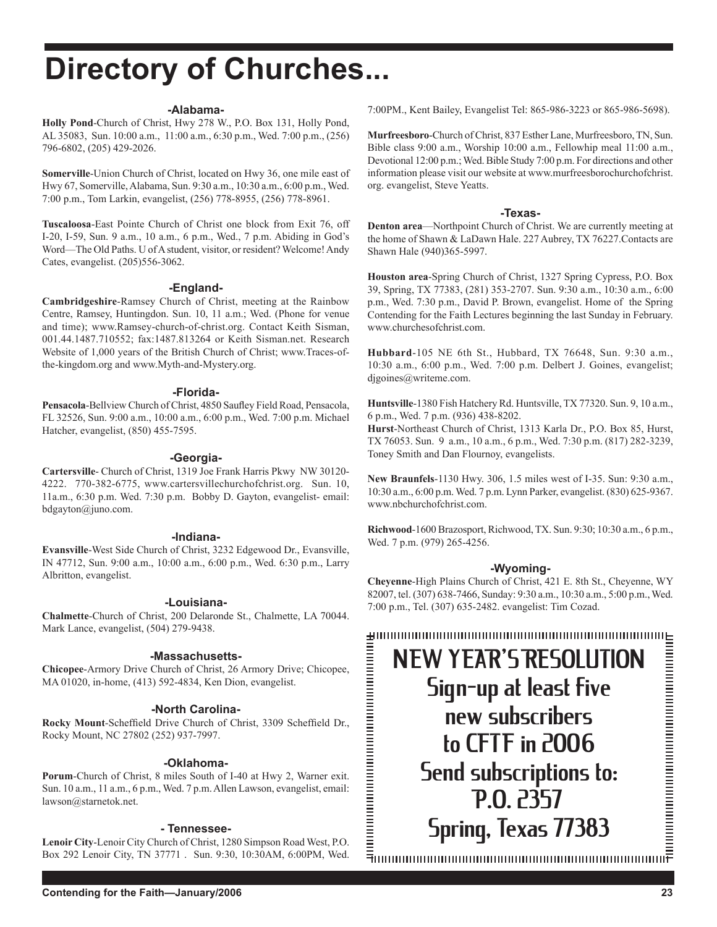# **Directory of Churches...**

#### **-Alabama-**

**Holly Pond**-Church of Christ, Hwy 278 W., P.O. Box 131, Holly Pond, AL 35083, Sun. 10:00 a.m., 11:00 a.m., 6:30 p.m., Wed. 7:00 p.m., (256) 796-6802, (205) 429-2026.

**Somerville**-Union Church of Christ, located on Hwy 36, one mile east of Hwy 67, Somerville, Alabama, Sun. 9:30 a.m., 10:30 a.m., 6:00 p.m., Wed. 7:00 p.m., Tom Larkin, evangelist, (256) 778-8955, (256) 778-8961.

**Tuscaloosa**-East Pointe Church of Christ one block from Exit 76, off I-20, I-59, Sun. 9 a.m., 10 a.m., 6 p.m., Wed., 7 p.m. Abiding in God's Word—The Old Paths. U of A student, visitor, or resident? Welcome! Andy Cates, evangelist. (205)556-3062.

#### **-England-**

**Cambridgeshire**-Ramsey Church of Christ, meeting at the Rainbow Centre, Ramsey, Huntingdon. Sun. 10, 11 a.m.; Wed. (Phone for venue and time); www.Ramsey-church-of-christ.org. Contact Keith Sisman, 001.44.1487.710552; fax:1487.813264 or Keith Sisman.net. Research Website of 1,000 years of the British Church of Christ; www.Traces-ofthe-kingdom.org and www.Myth-and-Mystery.org.

#### **-Florida-**

**Pensacola**-Bellview Church of Christ, 4850 Saufley Field Road, Pensacola, FL 32526, Sun. 9:00 a.m., 10:00 a.m., 6:00 p.m., Wed. 7:00 p.m. Michael Hatcher, evangelist, (850) 455-7595.

#### **-Georgia-**

**Cartersville**- Church of Christ, 1319 Joe Frank Harris Pkwy NW 30120- 4222. 770-382-6775, www.cartersvillechurchofchrist.org. Sun. 10, 11a.m., 6:30 p.m. Wed. 7:30 p.m. Bobby D. Gayton, evangelist- email: bdgayton@juno.com.

#### **-Indiana-**

**Evansville**-West Side Church of Christ, 3232 Edgewood Dr., Evansville, IN 47712, Sun. 9:00 a.m., 10:00 a.m., 6:00 p.m., Wed. 6:30 p.m., Larry Albritton, evangelist.

#### **-Louisiana-**

**Chalmette**-Church of Christ, 200 Delaronde St., Chalmette, LA 70044. Mark Lance, evangelist, (504) 279-9438.

#### **-Massachusetts-**

**Chicopee**-Armory Drive Church of Christ, 26 Armory Drive; Chicopee, MA 01020, in-home, (413) 592-4834, Ken Dion, evangelist.

#### **-North Carolina-**

**Rocky Mount**-Scheffield Drive Church of Christ, 3309 Scheffield Dr., Rocky Mount, NC 27802 (252) 937-7997.

#### **-Oklahoma-**

**Porum**-Church of Christ, 8 miles South of I-40 at Hwy 2, Warner exit. Sun. 10 a.m., 11 a.m., 6 p.m., Wed. 7 p.m. Allen Lawson, evangelist, email: lawson@starnetok.net.

#### **- Tennessee-**

**Lenoir City**-Lenoir City Church of Christ, 1280 Simpson Road West, P.O. Box 292 Lenoir City, TN 37771 . Sun. 9:30, 10:30AM, 6:00PM, Wed. 7:00PM., Kent Bailey, Evangelist Tel: 865-986-3223 or 865-986-5698).

**Murfreesboro**-Church of Christ, 837 Esther Lane, Murfreesboro, TN, Sun. Bible class 9:00 a.m., Worship 10:00 a.m., Fellowhip meal 11:00 a.m., Devotional 12:00 p.m.; Wed. Bible Study 7:00 p.m. For directions and other information please visit our website at www.murfreesborochurchofchrist. org. evangelist, Steve Yeatts.

#### **-Texas-**

**Denton area**—Northpoint Church of Christ. We are currently meeting at the home of Shawn & LaDawn Hale. 227 Aubrey, TX 76227.Contacts are Shawn Hale (940)365-5997.

**Houston area**-Spring Church of Christ, 1327 Spring Cypress, P.O. Box 39, Spring, TX 77383, (281) 353-2707. Sun. 9:30 a.m., 10:30 a.m., 6:00 p.m., Wed. 7:30 p.m., David P. Brown, evangelist. Home of the Spring Contending for the Faith Lectures beginning the last Sunday in February. www.churchesofchrist.com.

**Hubbard**-105 NE 6th St., Hubbard, TX 76648, Sun. 9:30 a.m., 10:30 a.m., 6:00 p.m., Wed. 7:00 p.m. Delbert J. Goines, evangelist; djgoines@writeme.com.

**Huntsville**-1380 Fish Hatchery Rd. Huntsville, TX 77320. Sun. 9, 10 a.m., 6 p.m., Wed. 7 p.m. (936) 438-8202.

**Hurst**-Northeast Church of Christ, 1313 Karla Dr., P.O. Box 85, Hurst, TX 76053. Sun. 9 a.m., 10 a.m., 6 p.m., Wed. 7:30 p.m. (817) 282-3239, Toney Smith and Dan Flournoy, evangelists.

**New Braunfels**-1130 Hwy. 306, 1.5 miles west of I-35. Sun: 9:30 a.m., 10:30 a.m., 6:00 p.m. Wed. 7 p.m. Lynn Parker, evangelist. (830) 625-9367. www.nbchurchofchrist.com.

**Richwood**-1600 Brazosport, Richwood, TX. Sun. 9:30; 10:30 a.m., 6 p.m., Wed. 7 p.m. (979) 265-4256.

#### **-Wyoming-**

**Cheyenne**-High Plains Church of Christ, 421 E. 8th St., Cheyenne, WY 82007, tel. (307) 638-7466, Sunday: 9:30 a.m., 10:30 a.m., 5:00 p.m., Wed. 7:00 p.m., Tel. (307) 635-2482. evangelist: Tim Cozad.

NEW YEAR'S RESOLUTION Sign-up at least five new subscribers to CFTF in 2006 Send subscriptions to: P.O. 2357 Spring, Texas 77383